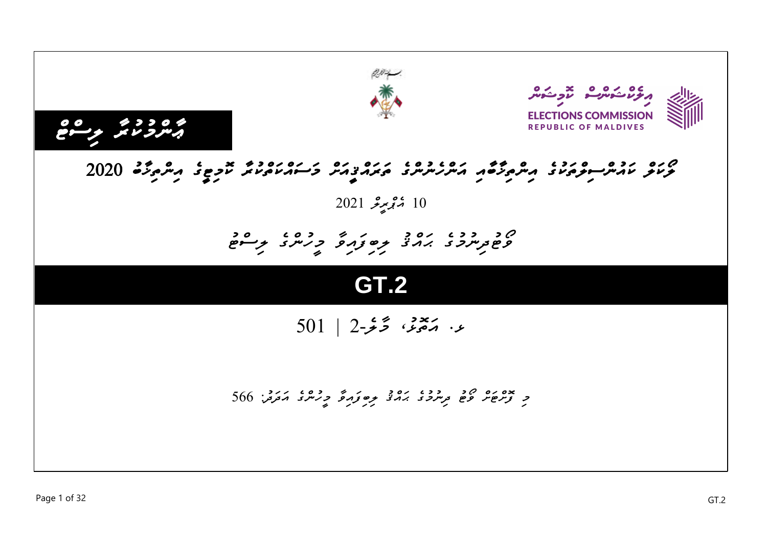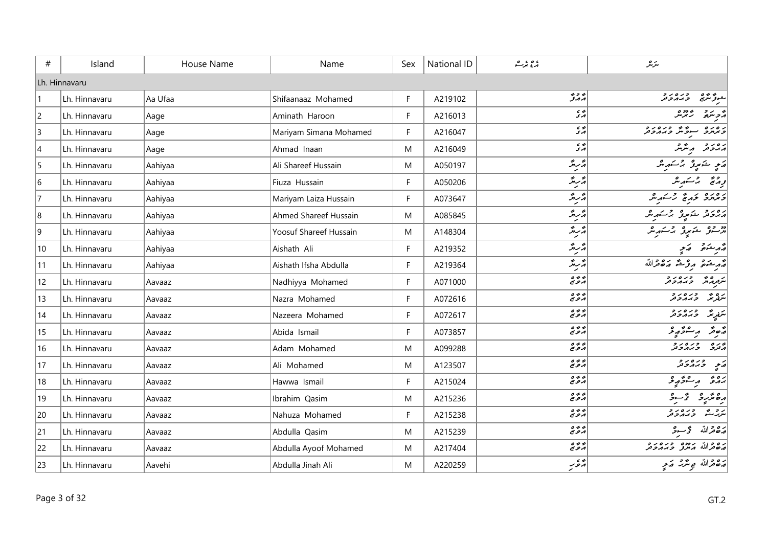| #              | Island        | House Name | Name                   | Sex | National ID | ېره پر شه            | بىر ھ                                           |
|----------------|---------------|------------|------------------------|-----|-------------|----------------------|-------------------------------------------------|
|                | Lh. Hinnavaru |            |                        |     |             |                      |                                                 |
|                | Lh. Hinnavaru | Aa Ufaa    | Shifaanaaz Mohamed     | F   | A219102     | ەدىر                 | و ره ر و<br><i>د ب</i> رگرفر<br>  سُوتَر مَّرْج |
| $\overline{c}$ | Lh. Hinnavaru | Aage       | Aminath Haroon         | F.  | A216013     | پر ج                 | یو دو ه<br>رنجونتر<br>أرمره                     |
| $\overline{3}$ | Lh. Hinnavaru | Aage       | Mariyam Simana Mohamed | F   | A216047     | پر ج<br>مرگ          | رەرە سۆش درەرد<br>دىرىرد سۆش دىرىردىر           |
| $\overline{4}$ | Lh. Hinnavaru | Aage       | Ahmad Inaan            | M   | A216049     | پو ء<br>مر           | رەرد مەشر                                       |
| 5              | Lh. Hinnavaru | Aahiyaa    | Ali Shareef Hussain    | M   | A050197     | ومحرمر               | ړې خپرو رمنه                                    |
| $\sqrt{6}$     | Lh. Hinnavaru | Aahiyaa    | Fiuza Hussain          | F   | A050206     | ومريز                | وريح بركتهرش                                    |
| $\overline{7}$ | Lh. Hinnavaru | Aahiyaa    | Mariyam Laiza Hussain  | F   | A073647     | ومريز                | ومهرو كررة ركتهر                                |
| 8              | Lh. Hinnavaru | Aahiyaa    | Ahmed Shareef Hussain  | M   | A085845     | أوسبر                | رەرد خىمرو برگىدىگ                              |
| $\overline{9}$ | Lh. Hinnavaru | Aahiyaa    | Yoosuf Shareef Hussain | M   | A148304     | أوسبر                | وريدو ڪيرو ريسهرير                              |
| 10             | Lh. Hinnavaru | Aahiyaa    | Aishath Ali            | F   | A219352     | أوبريز               |                                                 |
| 11             | Lh. Hinnavaru | Aahiyaa    | Aishath Ifsha Abdulla  | F   | A219364     | ا پر به پر<br>ا      | ومرودة مروثة وكافرالله                          |
| 12             | Lh. Hinnavaru | Aavaaz     | Nadhiyya Mohamed       | F   | A071000     | پر پره<br>  هر ی     | תתחות בגםגב                                     |
| 13             | Lh. Hinnavaru | Aavaaz     | Nazra Mohamed          | F   | A072616     | پر چه ه<br>  هر چ    | شەھ دىرەرد                                      |
| 14             | Lh. Hinnavaru | Aavaaz     | Nazeera Mohamed        | F   | A072617     | پر شی ح              | ىكغرىگە ئەمەم ئە                                |
| 15             | Lh. Hinnavaru | Aavaaz     | Abida Ismail           | F   | A073857     | پر پره<br>  هر پر مح | ړُهنَ د عزود                                    |
| 16             | Lh. Hinnavaru | Aavaaz     | Adam Mohamed           | M   | A099288     | پر شی ح              | وره وره رو<br>مرتزح وبرمروتر                    |
| 17             | Lh. Hinnavaru | Aavaaz     | Ali Mohamed            | M   | A123507     | پر ده<br>در ده       | أمرم وره رد                                     |
| 18             | Lh. Hinnavaru | Aavaaz     | Hawwa Ismail           | F   | A215024     | پر په ه              | برە ئەستۇربۇ                                    |
| 19             | Lh. Hinnavaru | Aavaaz     | Ibrahim Qasim          | M   | A215236     | پر پره<br>  هر پر مح | وەترىرو تۆسۈ                                    |
| 20             | Lh. Hinnavaru | Aavaaz     | Nahuza Mohamed         | F   | A215238     | پر پره<br>  هر پر مح | و پر ۵ پر و<br>تر ټر ټر تو<br>سرزينگه           |
| 21             | Lh. Hinnavaru | Aavaaz     | Abdulla Qasim          | M   | A215239     | پر پره<br>  هر پر مح | رە قراللە قمىسومى                               |
| 22             | Lh. Hinnavaru | Aavaaz     | Abdulla Ayoof Mohamed  | M   | A217404     | پر پره<br>  پر پر مح | م معرالله محدود ورورد                           |
| 23             | Lh. Hinnavaru | Aavehi     | Abdulla Jinah Ali      | M   | A220259     | الحرة سر             | رە ت <sub>ىراللە مويتر<i>تە مەي</i></sub>       |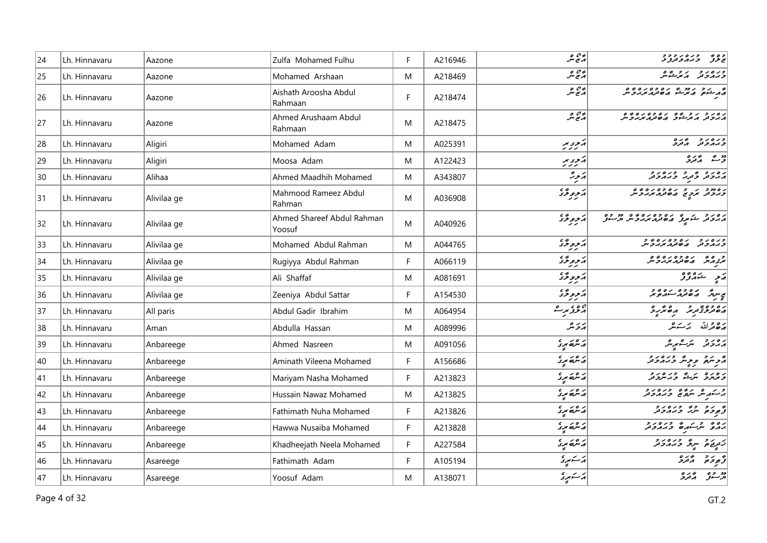| 24 | Lh. Hinnavaru | Aazone      | Zulfa Mohamed Fulhu                  | F         | A216946 | پرسم عر                             | وه وره رووو<br>بح فرق و بر مرفر فر                                                        |
|----|---------------|-------------|--------------------------------------|-----------|---------|-------------------------------------|-------------------------------------------------------------------------------------------|
| 25 | Lh. Hinnavaru | Aazone      | Mohamed Arshaan                      | M         | A218469 | پر ص<br>در س                        | ورەرو روشگ                                                                                |
| 26 | Lh. Hinnavaru | Aazone      | Aishath Aroosha Abdul<br>Rahmaan     | F         | A218474 | پر ص<br>در س                        | ه در در در در در در در در د                                                               |
| 27 | Lh. Hinnavaru | Aazone      | Ahmed Arushaam Abdul<br>Rahmaan      | M         | A218475 | پر ص<br>مربح مثر                    | ر 2000 ניכן כי 2000 משיירית.<br>מיניכית היינייבים השיימים הייכות.                         |
| 28 | Lh. Hinnavaru | Aligiri     | Mohamed Adam                         | M         | A025391 | ەزىرىر<br>سىرىر بىر                 | وره رو دره<br><i>وب</i> رمرو مرتز <i>و</i>                                                |
| 29 | Lh. Hinnavaru | Aligiri     | Moosa Adam                           | M         | A122423 | ەز دى بر<br>مەر ر                   | وو عرده                                                                                   |
| 30 | Lh. Hinnavaru | Alihaa      | Ahmed Maadhih Mohamed                | M         | A343807 | بزير                                | גפני הינג בנסיד                                                                           |
| 31 | Lh. Hinnavaru | Alivilaa ge | Mahmood Rameez Abdul<br>Rahman       | M         | A036908 | ەكترە ۋە                            | ג סמכ בי ג כ ג ס כ ס ג ס ג ס.<br>ב גב ב ב ג ב הם בקה הג ב ייצ                             |
| 32 | Lh. Hinnavaru | Alivilaa ge | Ahmed Shareef Abdul Rahman<br>Yoosuf | M         | A040926 | ړوونژه                              | ו סיד בי יום יום דסידים כד דם.<br>היה בה ליבות בי הוס ההיה היה היה בין.<br>היה בה ליבות ה |
| 33 | Lh. Hinnavaru | Alivilaa ge | Mohamed Abdul Rahman                 | M         | A044765 | رزوعر ترء                           | وره رحال ده وه ره د و<br>تربر مرتد می مرکز می کرد.                                        |
| 34 | Lh. Hinnavaru | Alivilaa ge | Rugiyya Abdul Rahman                 | F.        | A066119 | لأمزه بحمح                          | ر ٥ ۶ ٥ ٥ ٥ ٥ ٠<br>۵ ۵ تو۵ بوبرتر س<br>ج <sub>ر تو</sub> ۾ گر                             |
| 35 | Lh. Hinnavaru | Alivilaa ge | Ali Shaffaf                          | M         | A081691 | أروء وً د                           | ړې شهروو                                                                                  |
| 36 | Lh. Hinnavaru | Alivilaa ge | Zeeniya Abdul Sattar                 | F         | A154530 | ە پەر پە                            | א מיד בסרס נספר                                                                           |
| 37 | Lh. Hinnavaru | All paris   | Abdul Gadir Ibrahim                  | M         | A064954 | پروی <sub> مر</sub> حہ              | גם כפי גם הפיציב                                                                          |
| 38 | Lh. Hinnavaru | Aman        | Abdulla Hassan                       | M         | A089996 | ىر بە<br>مە <del>ر</del> بىر        | مَدْهُ مِّرَاللَّهُ بِرَسَوْسُ                                                            |
| 39 | Lh. Hinnavaru | Anbareege   | Ahmed Nasreen                        | M         | A091056 | پر هر پر پر                         | رەرد برەيرىد                                                                              |
| 40 | Lh. Hinnavaru | Anbareege   | Aminath Vileena Mohamed              | F         | A156686 | پر شرکهٔ سربر                       | ה<br>הקייטה קקיית במחכת                                                                   |
| 41 | Lh. Hinnavaru | Anbareege   | Mariyam Nasha Mohamed                | F.        | A213823 | پر صر پر پر                         | ر وره در در ورو                                                                           |
| 42 | Lh. Hinnavaru | Anbareege   | Hussain Nawaz Mohamed                | M         | A213825 | ر ه ر<br>پرسرچ سر د                 | כן כן מינים כנסגב                                                                         |
| 43 | Lh. Hinnavaru | Anbareege   | Fathimath Nuha Mohamed               | F         | A213826 | ر ه پرې<br>د سرچونو                 | ه د د ده دره دد<br>ژبوده سربر دبر دند                                                     |
| 44 | Lh. Hinnavaru | Anbareege   | Hawwa Nusaiba Mohamed                | F         | A213828 | بر ۵ پر م<br>هرسرچ سمر <sup>ج</sup> | رە بە تەسىرە دىرەر د                                                                      |
| 45 | Lh. Hinnavaru | Anbareege   | Khadheejath Neela Mohamed            | F         | A227584 | ر ەر<br>مەسھەم <sub>ۇ</sub>         | ترىرى ئەس ئەرەر ئ                                                                         |
| 46 | Lh. Hinnavaru | Asareege    | Fathimath Adam                       | F         | A105194 | ېز سه پېړۍ<br>په                    | وتجوحه وتره                                                                               |
| 47 | Lh. Hinnavaru | Asareege    | Yoosuf Adam                          | ${\sf M}$ | A138071 | ېر کے بىرى<br>ئى                    | מ כפ הינם<br>ת—נצ                                                                         |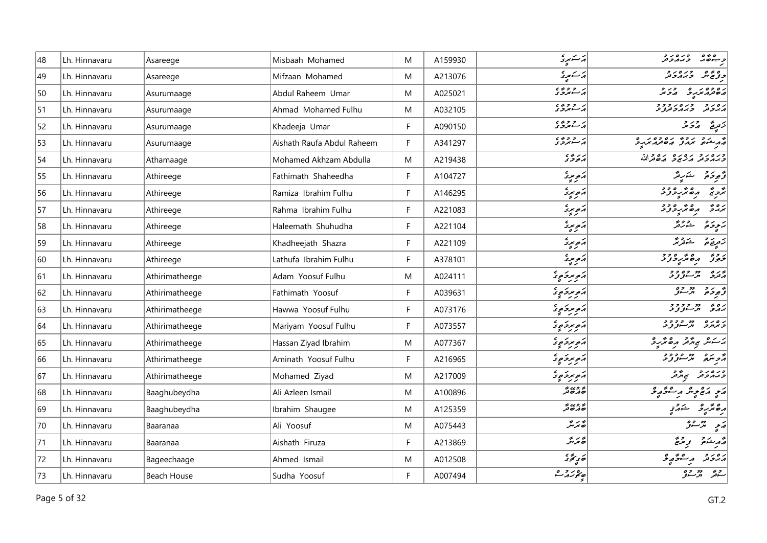| 48 | Lh. Hinnavaru | Asareege           | Misbaah Mohamed            | M  | A159930 | ېز سەئىي <sub>د</sub> ى<br>ئ            | و ر ه ر د<br>تر پر ژ تر<br>ج سوھ پر                                  |
|----|---------------|--------------------|----------------------------|----|---------|-----------------------------------------|----------------------------------------------------------------------|
| 49 | Lh. Hinnavaru | Asareege           | Mifzaan Mohamed            | M  | A213076 | بر کے <sub>مح</sub> ری                  | و ده وره در د                                                        |
| 50 | Lh. Hinnavaru | Asurumaage         | Abdul Raheem Umar          | M  | A025021 | بر ج ج مي د<br>مرگ مترکو <sub>م</sub> ي | גם כם גם בגב<br>הסנגיגה כ                                            |
| 51 | Lh. Hinnavaru | Asurumaage         | Ahmad Mohamed Fulhu        | M  | A032105 | ر و و د »<br>پرستوری                    | גם גד כגם גבבב<br>הגבת כגהכתנת                                       |
| 52 | Lh. Hinnavaru | Asurumaage         | Khadeeja Umar              | F  | A090150 | ر و و د »<br>پرستوری                    | أرَسٍ فَمَرَ وَمَرَ وَ                                               |
| 53 | Lh. Hinnavaru | Asurumaage         | Aishath Raufa Abdul Raheem | F  | A341297 | ر و و د »<br>پرستوری                    | ه مشرح برونو بره وه در ه<br>په مشوی محمد و په هوم محمد و             |
| 54 | Lh. Hinnavaru | Athamaage          | Mohamed Akhzam Abdulla     | M  | A219438 | ر ر د »<br>پره <del>ر</del> ر           | وره رو روره رودالله                                                  |
| 55 | Lh. Hinnavaru | Athireege          | Fathimath Shaheedha        | F  | A104727 |                                         | قرجوحكم متكميقه                                                      |
| 56 | Lh. Hinnavaru | Athireege          | Ramiza Ibrahim Fulhu       | F  | A146295 | لرَهومبرءُ                              |                                                                      |
| 57 | Lh. Hinnavaru | Athireege          | Rahma Ibrahim Fulhu        | F  | A221083 | ړ<br>مرموسو                             | $550$ $70$ $70$ $70$                                                 |
| 58 | Lh. Hinnavaru | Athireege          | Haleemath Shuhudha         | F  | A221104 | پر<br>ورهوسوري                          | سشەرقە<br>برَموِرَهُ                                                 |
| 59 | Lh. Hinnavaru | Athireege          | Khadheejath Shazra         | F  | A221109 | <br>  در هو موري<br>                    | كەنبەن كەرەپىگە                                                      |
| 60 | Lh. Hinnavaru | Athireege          | Lathufa Ibrahim Fulhu      | F. | A378101 | لهَ حو مبری                             | دوو رەپرىدود                                                         |
| 61 | Lh. Hinnavaru | Athirimatheege     | Adam Yoosuf Fulhu          | M  | A024111 | ر<br>مومرىپور                           | برره دو وه وه<br>مرکز مرسوفونو                                       |
| 62 | Lh. Hinnavaru | Athirimatheege     | Fathimath Yoosuf           | F  | A039631 | ג'ם מבסיף ב                             | ژ <sub>جو خ</sub> مې مرگسو                                           |
| 63 | Lh. Hinnavaru | Athirimatheege     | Hawwa Yoosuf Fulhu         | F  | A073176 | ر<br>مومرىدى                            | ره به دو ووو<br>درگرمی افرانسوتونو                                   |
| 64 | Lh. Hinnavaru | Athirimatheege     | Mariyam Yoosuf Fulhu       | F  | A073557 | ر<br>موسر څېو د                         | י סים - פריכב<br>המחידה - חי-תוני                                    |
| 65 | Lh. Hinnavaru | Athirimatheege     | Hassan Ziyad Ibrahim       | M  | A077367 | ړ <sub>نمو مرخه مو</sub> د              | برسكر بالزقر وكالزرد                                                 |
| 66 | Lh. Hinnavaru | Athirimatheege     | Aminath Yoosuf Fulhu       | F. | A216965 | <br>  مەمرىكە ئە                        | ام ده ده دوه<br>امریتهای امریکی د                                    |
| 67 | Lh. Hinnavaru | Athirimatheege     | Mohamed Ziyad              | M  | A217009 | ړ <sub>مو</sub> بر د ه و د<br>م         | ورەر دېھ په د                                                        |
| 68 | Lh. Hinnavaru | Baaghubeydha       | Ali Azleen Ismail          | M  | A100896 | ه ور، د<br>خهره تر                      | ړې رېږېد ره دوږ                                                      |
| 69 | Lh. Hinnavaru | Baaghubeydha       | Ibrahim Shaugee            | M  | A125359 | ه ور، د.<br>خ د حاکر                    |                                                                      |
| 70 | Lh. Hinnavaru | Baaranaa           | Ali Yoosuf                 | M  | A075443 | پە بەر<br>ھ <b>ې</b> جەنىڭر             | $\begin{array}{cc} 0 & 2 & 2 \\ 2 & -2 & 2 \\ 3 & 2 & 3 \end{array}$ |
| 71 | Lh. Hinnavaru | Baaranaa           | Aishath Firuza             | F. | A213869 | پۇ بەر<br>ھ <b>ې</b> جرىتر              | أقهر شنقى وجزع                                                       |
| 72 | Lh. Hinnavaru | Bageechaage        | Ahmed Ismail               | M  | A012508 | ے پر پر ہ<br>م                          | رەرد مەئور                                                           |
| 73 | Lh. Hinnavaru | <b>Beach House</b> | Sudha Yoosuf               | F. | A007494 | ە ئەزەر م                               | شەنگە بىر تەرە                                                       |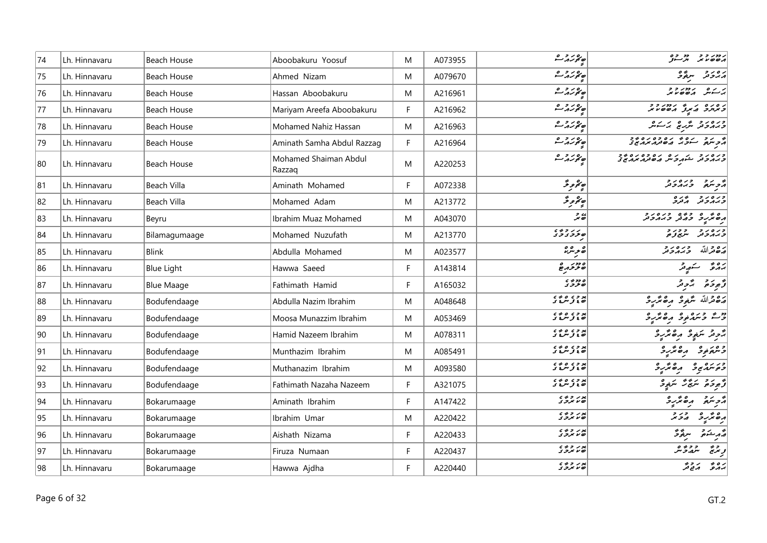| 74 | Lh. Hinnavaru | <b>Beach House</b> | Aboobakuru Yoosuf               | M  | A073955 | پەنزار م                                                                           | ېږمبره<br>נ דב ג' כ<br>גיסים מ' מ   |
|----|---------------|--------------------|---------------------------------|----|---------|------------------------------------------------------------------------------------|-------------------------------------|
| 75 | Lh. Hinnavaru | <b>Beach House</b> | Ahmed Nizam                     | M  | A079670 | ە ئەزەر م                                                                          | رەر دەر                             |
| 76 | Lh. Hinnavaru | <b>Beach House</b> | Hassan Aboobakuru               | M  | A216961 | پەنزار م                                                                           | 22222                               |
| 77 | Lh. Hinnavaru | <b>Beach House</b> | Mariyam Areefa Aboobakuru       | F. | A216962 | ە ئۇ ئەمر م                                                                        | ג סגם ג'ת 2 גדוג כב                 |
| 78 | Lh. Hinnavaru | <b>Beach House</b> | Mohamed Nahiz Hassan            | M  | A216963 | 2520                                                                               | ورەرو ئۆرى ئەسەئ                    |
| 79 | Lh. Hinnavaru | <b>Beach House</b> | Aminath Samha Abdul Razzag      | F. | A216964 | $\left  \begin{array}{cc} 0 & 0 & 0 \\ 0 & 0 & 0 \\ 0 & 0 & 0 \end{array} \right $ | מ ני ני ניסי ניסיפי ניסיב           |
| 80 | Lh. Hinnavaru | <b>Beach House</b> | Mohamed Shaiman Abdul<br>Razzag | M  | A220253 | پە ئەر ئە                                                                          | כנסגב גנגב גם כסבסגס                |
| 81 | Lh. Hinnavaru | <b>Beach Villa</b> | Aminath Mohamed                 | F. | A072338 | ھەمچە ھەقىر<br>ئ <sup>ە</sup>                                                      | أثر مرد وره دو                      |
| 82 | Lh. Hinnavaru | Beach Villa        | Mohamed Adam                    | M  | A213772 | ھەمجەھ <sub>ر</sub> ىتى<br>ئ <sup>ە</sup>                                          | כנסנכ שנס                           |
| 83 | Lh. Hinnavaru | Beyru              | Ibrahim Muaz Mohamed            | M  | A043070 | ر و<br>ن مر                                                                        | ده نر و دوه در در د                 |
| 84 | Lh. Hinnavaru | Bilamagumaage      | Mohamed Nuzufath                | M  | A213770 | ر ر د و د ،<br>م <i>ور د د</i> د                                                   | وره رو دورو<br>وبرماند سرچ تولی     |
| 85 | Lh. Hinnavaru | <b>Blink</b>       | Abdulla Mohamed                 | M  | A023577 | ەمەمە                                                                              | برە تراللە<br>و ره ر و<br>تر پر ژور |
| 86 | Lh. Hinnavaru | <b>Blue Light</b>  | Hawwa Saeed                     | F  | A143814 | e                                                                                  | رەپچ<br>سەھەقىر                     |
| 87 | Lh. Hinnavaru | <b>Blue Maage</b>  | Fathimath Hamid                 | F  | A165032 | ه دونو تا<br>ن <i>ن نو</i> ر <sub>ک</sub>                                          | ۇ ب <sub>و</sub> ر د<br>برٌوتر      |
| 88 | Lh. Hinnavaru | Bodufendaage       | Abdulla Nazim Ibrahim           | M  | A048648 | پر د ، ه و ، ،<br>ح ډ نو مرغ ي                                                     | رە داللە مىھرى مەھەر د              |
| 89 | Lh. Hinnavaru | Bodufendaage       | Moosa Munazzim Ibrahim          | M  | A053469 | پر د ی ه و ی<br>چه <b>ز</b> سره ی                                                  | יי י י י פי פי הסתיב                |
| 90 | Lh. Hinnavaru | Bodufendaage       | Hamid Nazeem Ibrahim            | M  | A078311 | پر د ی ه و و<br>ځه نو مرغ ی                                                        | جُوثر سَمْوِدْ مِعْجُرِدْ           |
| 91 | Lh. Hinnavaru | Bodufendaage       | Munthazim Ibrahim               | M  | A085491 | پر د ی ه د ی<br>  حا با تر سره که                                                  | ىر ھەتئەر 2<br>ر<br>وممرضوفه        |
| 92 | Lh. Hinnavaru | Bodufendaage       | Muthanazim Ibrahim              | M  | A093580 | پر د ی ه پر ی<br>حدو سرد تر                                                        | وبرره ومسترارد                      |
| 93 | Lh. Hinnavaru | Bodufendaage       | Fathimath Nazaha Nazeem         | F  | A321075 | پر د ی ه پر ی<br>حدو سرد تر                                                        | توجوحو الترويح التماجي              |
| 94 | Lh. Hinnavaru | Bokarumaage        | Aminath Ibrahim                 | F. | A147422 | پور و ده ،<br><i>ه تا بود</i> د                                                    |                                     |
| 95 | Lh. Hinnavaru | Bokarumaage        | Ibrahim Umar                    | M  | A220422 | پر ر و د پ<br><i>ه تا بر و</i> ي                                                   | ەر ھەتتەر 2<br>ر<br>ەرىر            |
| 96 | Lh. Hinnavaru | Bokarumaage        | Aishath Nizama                  | F  | A220433 | پر ر و د پ<br><i>ه تا پر و</i> د                                                   | وكرشكو سركوك                        |
| 97 | Lh. Hinnavaru | Bokarumaage        | Firuza Numaan                   | F  | A220437 | پر ر و د پ<br><i>ه تا پر و</i> د                                                   | لوبرچ<br>پر پر محمد<br>سربر شر      |
| 98 | Lh. Hinnavaru | Bokarumaage        | Hawwa Ajdha                     | F  | A220440 | پر روپر<br><i>هند ب</i> ر                                                          | رەپر روپر                           |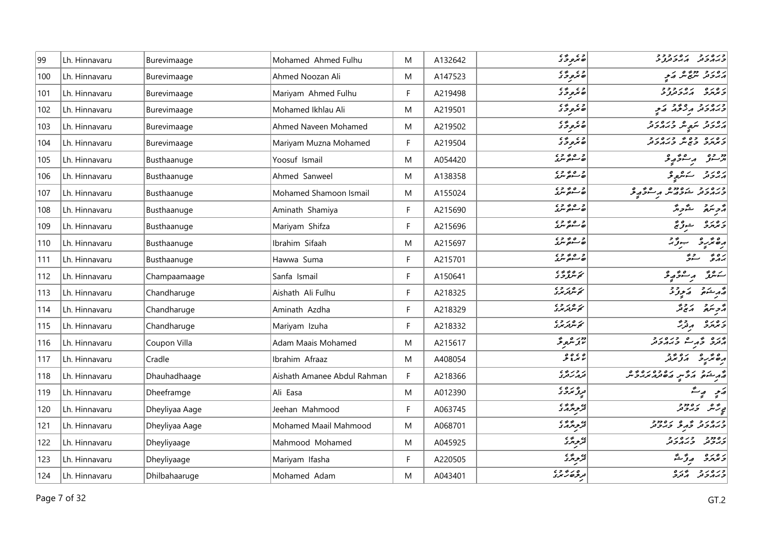| 99  | Lh. Hinnavaru | Burevimaage    | Mohamed Ahmed Fulhu         | M           | A132642 | د ،<br>صغر و د د                             | כנסנכ נסנככ<br>כגובת גגבתנת                                                 |
|-----|---------------|----------------|-----------------------------|-------------|---------|----------------------------------------------|-----------------------------------------------------------------------------|
| 100 | Lh. Hinnavaru | Burevimaage    | Ahmed Noozan Ali            | M           | A147523 | و ۽ حرم و<br>ھنجر <i>و</i> ڏو                | ره رو دوره ه<br>مربرو تربع نگر مرکز                                         |
| 101 | Lh. Hinnavaru | Burevimaage    | Mariyam Ahmed Fulhu         | F           | A219498 | د ،<br>صغر و د د                             | י סים מסיכור<br>המחיד המבטנט                                                |
| 102 | Lh. Hinnavaru | Burevimaage    | Mohamed Ikhlau Ali          | M           | A219501 | د ،<br>صغر و د د                             | ورەرو مەدگە مۇ                                                              |
| 103 | Lh. Hinnavaru | Burevimaage    | Ahmed Naveen Mohamed        | M           | A219502 | و ۽ په پر<br>ح <b>م</b> حري                  | גפגב <sub>י</sub> מ <sub>שנ</sub> ים כגם גב<br>גגבה יימ <u>ש</u> יית כגובתה |
| 104 | Lh. Hinnavaru | Burevimaage    | Mariyam Muzna Mohamed       | $\mathsf F$ | A219504 | د ،<br>صغر و د د                             | ג סגם כם ש כגם גב<br>המתכני האיית במתכת                                     |
| 105 | Lh. Hinnavaru | Busthaanuge    | Yoosuf Ismail               | M           | A054420 | و ه ۶ و ،<br>ه سوه سرد                       | وريستو برسفتموغه                                                            |
| 106 | Lh. Hinnavaru | Busthaanuge    | Ahmed Sanweel               | M           | A138358 | و ه پر و ،<br>قاسستمبر                       | أرەرو سەھوى                                                                 |
| 107 | Lh. Hinnavaru | Busthaanuge    | Mohamed Shamoon Ismail      | M           | A155024 | و ه ۶ و ،<br>ه سوه سرد                       | כנים ניכן ניסודים תשיפתית                                                   |
| 108 | Lh. Hinnavaru | Busthaanuge    | Aminath Shamiya             | $\mathsf F$ | A215690 | ه ۵ ۵ و ۷<br>ت <i>ه س</i> وځ سر <sub>ک</sub> | أأوسكم المشرور                                                              |
| 109 | Lh. Hinnavaru | Busthaanuge    | Mariyam Shifza              | F           | A215696 | ه ۵ په وره<br>ن <i>ه سره سر</i> و            | رەرە شەۋىج                                                                  |
| 110 | Lh. Hinnavaru | Busthaanuge    | Ibrahim Sifaah              | M           | A215697 | ه ۵ په وره<br>پېښو سر <sub>ک</sub>           | ە ئەرە بىرى<br>رەئەرە بىرى                                                  |
| 111 | Lh. Hinnavaru | Busthaanuge    | Hawwa Suma                  | $\mathsf F$ | A215701 | ه ۵ ۵ و ۷<br>ت <i>ه س</i> وځ سر <sub>ک</sub> | رەپ شۇ                                                                      |
| 112 | Lh. Hinnavaru | Champaamaage   | Sanfa Ismail                | $\mathsf F$ | A150641 | ى شروع ئ                                     | سەملەر بەسەۋبەي                                                             |
| 113 | Lh. Hinnavaru | Chandharuge    | Aishath Ali Fulhu           | F           | A218325 | ر و ر و ،<br>کارمربر د                       | و ديده ديدود.<br>در شوه ديوون                                               |
| 114 | Lh. Hinnavaru | Chandharuge    | Aminath Azdha               | F           | A218329 | ر و د د د<br>کارمرتر بر د                    |                                                                             |
| 115 | Lh. Hinnavaru | Chandharuge    | Mariyam Izuha               | F           | A218332 | ىر ھەترىر 2<br>كىم سرتىرىرى                  | د ۱۵ د ور                                                                   |
| 116 | Lh. Hinnavaru | Coupon Villa   | Adam Maais Mohamed          | M           | A215617 | تىز ئىرو ئە                                  | أيره ومره وره دد                                                            |
| 117 | Lh. Hinnavaru | Cradle         | Ibrahim Afraaz              | M           | A408054 | ه ، ه ه و<br>پر عبد ع                        | دە ئەرە بەدە ئە                                                             |
| 118 | Lh. Hinnavaru | Dhauhadhaage   | Aishath Amanee Abdul Rahman | F           | A218366 | ر و ر ر د<br>تر <i>د ر</i> تر د              | י גב גל גם בסגם בים<br>התיים הכת הסתה ההבת                                  |
| 119 | Lh. Hinnavaru | Dheeframge     | Ali Easa                    | M           | A012390 |                                              | ړې په                                                                       |
| 120 | Lh. Hinnavaru | Dheyliyaa Aage | Jeehan Mahmood              | $\mathsf F$ | A063745 | <br>  تر پر پر پر پر                         | ر محمد محمد محمد محمد المحمد<br>المحمد محمد المحمد المحمد                   |
| 121 | Lh. Hinnavaru | Dheyliyaa Aage | Mohamed Maail Mahmood       | M           | A068701 | ە ئەمەدىيە<br>ئىگەنىزلىرى                    | כנסגב בתי בהכת                                                              |
| 122 | Lh. Hinnavaru | Dheyliyaage    | Mahmood Mohamed             | M           | A045925 | يموچر<br>ترم                                 | נ ס בכ - כניס ניב<br>כגב עיב ב באורב בנ                                     |
| 123 | Lh. Hinnavaru | Dheyliyaage    | Mariyam Ifasha              | F           | A220505 | ء،<br>ترمز پر پر                             | ورەرە بەرگ                                                                  |
| 124 | Lh. Hinnavaru | Dhilbahaaruge  | Mohamed Adam                | M           | A043401 | و ره ره و ،<br>درگرفت <i>ر</i> بر د          | ورەرو پەرە<br>جەمەدىر مەنرو                                                 |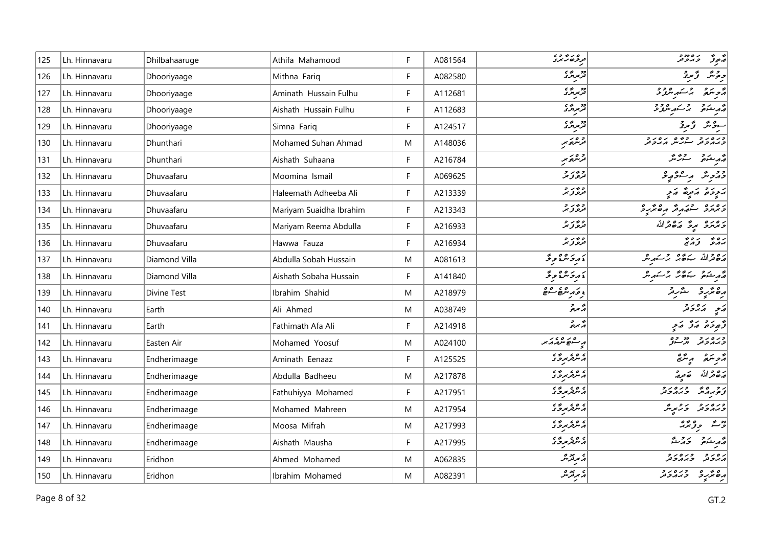| 125 | Lh. Hinnavaru | Dhilbahaaruge | Athifa Mahamood         | F  | A081564 | ه در ۶ و ۷<br>درمر <i>ه ر</i> بر د                             | ر ۱۵ ۶۶<br>تر بر تر تر<br>پ <sup>ھ</sup> وڙ    |
|-----|---------------|---------------|-------------------------|----|---------|----------------------------------------------------------------|------------------------------------------------|
| 126 | Lh. Hinnavaru | Dhooriyaage   | Mithna Fariq            | F. | A082580 | دد<br>ترسر پر د                                                | دەنئە ئەبرق                                    |
| 127 | Lh. Hinnavaru | Dhooriyaage   | Aminath Hussain Fulhu   | F. | A112681 | دو پر پر پر<br>قرمربر <sub>ک</sub>                             |                                                |
| 128 | Lh. Hinnavaru | Dhooriyaage   | Aishath Hussain Fulhu   | F. | A112683 | دد<br>ترمریز <sub>ک</sub>                                      | ە<br>مەرشىم ئەسىرس                             |
| 129 | Lh. Hinnavaru | Dhooriyaage   | Simna Fariq             | F. | A124517 | دد<br>ترمربرگ                                                  | سودىتى كوموتى                                  |
| 130 | Lh. Hinnavaru | Dhunthari     | Mohamed Suhan Ahmad     | M  | A148036 | و هر مر                                                        | ورەر د دوە رەرد<br><i>دېرم</i> وتر سىرس مەردىر |
| 131 | Lh. Hinnavaru | Dhunthari     | Aishath Suhaana         | F  | A216784 | و همرمر                                                        | ۇرمىنى سىرتىر                                  |
| 132 | Lh. Hinnavaru | Dhuvaafaru    | Moomina Ismail          | F  | A069625 | و په ر<br>تر <i>وگ</i> مر                                      | دروبر رعزتو                                    |
| 133 | Lh. Hinnavaru | Dhuvaafaru    | Haleemath Adheeba Ali   | F  | A213339 | و په ر<br>تر <i>وگ</i> مر                                      | برودة كالرها كالمح                             |
| 134 | Lh. Hinnavaru | Dhuvaafaru    | Mariyam Suaidha Ibrahim | F. | A213343 | و په ر<br>تر <i>وگ</i> مر                                      | גם גם בגנה תסתיק                               |
| 135 | Lh. Hinnavaru | Dhuvaafaru    | Mariyam Reema Abdulla   | F  | A216933 | و پر و<br>تر <i>وگ</i> تر                                      | ترەپرە بېرۇ كەھەراللە                          |
| 136 | Lh. Hinnavaru | Dhuvaafaru    | Hawwa Fauza             | F  | A216934 | و و د ر<br>تر <i>وگ</i> مر                                     | رەپ زدە                                        |
| 137 | Lh. Hinnavaru | Diamond Villa | Abdulla Sobah Hussain   | M  | A081613 | } رِرَ مْنْ وِرَّ                                              | رە داللە جۇھ برخوش                             |
| 138 | Lh. Hinnavaru | Diamond Villa | Aishath Sobaha Hussain  | F  | A141840 | ئەر ئەنتقى قرىتى                                               | أروشكم بتوافق بركتمرش                          |
| 139 | Lh. Hinnavaru | Divine Test   | Ibrahim Shahid          | M  | A218979 | و عَرم سْرِءَ وَ وَ وَ                                         | $\frac{2}{3}$                                  |
| 140 | Lh. Hinnavaru | Earth         | Ali Ahmed               | M  | A038749 | پر<br>در سره                                                   | أحكمت المردور                                  |
| 141 | Lh. Hinnavaru | Earth         | Fathimath Afa Ali       | F. | A214918 | پر<br>در بره                                                   | وُجِرَةٌ مَرَّ مَيْ                            |
| 142 | Lh. Hinnavaru | Easten Air    | Mohamed Yoosuf          | M  | A024100 | ار مشخص میکرد.<br>مستق                                         | כנסני מייפס<br><i>כג</i> וכני וציינ            |
| 143 | Lh. Hinnavaru | Endherimaage  | Aminath Eenaaz          | F. | A125525 | ء عرو سرچ <sub>ک</sub> ے<br> مرتق <i>د مر</i> ج <sub>ک</sub> ے | وسترج<br>ړ په سرچ                              |
| 144 | Lh. Hinnavaru | Endherimaage  | Abdulla Badheeu         | M  | A217878 | ې ده په په په<br>د سرپر پروگ                                   | مَدْهِ قَرَاللّه صَعِيدٍ                       |
| 145 | Lh. Hinnavaru | Endherimaage  | Fathuhiyya Mohamed      | F  | A217951 | ء عرو سرچ <sub>ک</sub>                                         | י כ פי כנסנב<br>נפגרת כגרכת                    |
| 146 | Lh. Hinnavaru | Endherimaage  | Mohamed Mahreen         | M  | A217954 | ، مەئىرىرى <i>چ</i>                                            | ورەرو كەرپىر                                   |
| 147 | Lh. Hinnavaru | Endherimaage  | Moosa Mifrah            | M  | A217993 | ى ھەتكە بەر يەر<br>مەنگە بىر تەرى                              | وحث ووثره                                      |
| 148 | Lh. Hinnavaru | Endherimaage  | Aishath Mausha          | F  | A217995 | ې ه د پر په په<br>مرمر پر پر په                                | ۇرىشق تەرقى                                    |
| 149 | Lh. Hinnavaru | Eridhon       | Ahmed Mohamed           | M  | A062835 | ە بىر قىرىش                                                    | ر ەر د<br>و ر ه ر و<br><i>د ب</i> رگرفر        |
| 150 | Lh. Hinnavaru | Eridhon       | Ibrahim Mohamed         | M  | A082391 | ە بىر قىرىگر                                                   | دە ئەرەر دىرەر                                 |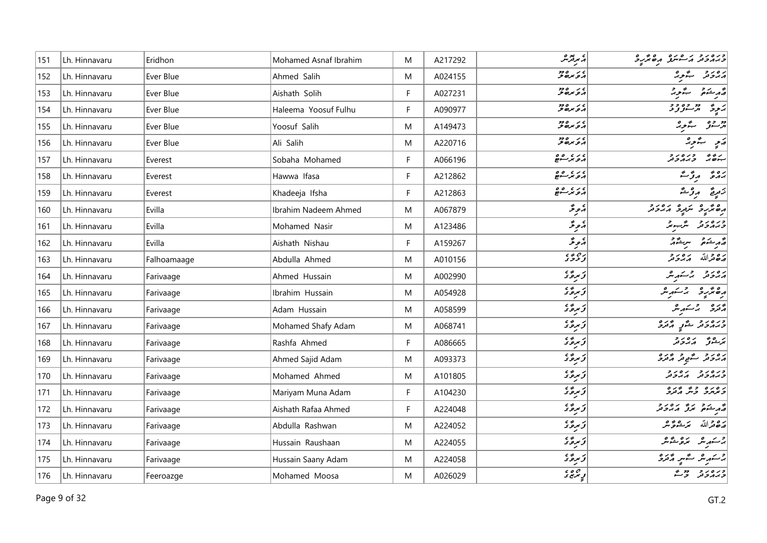| 151 | Lh. Hinnavaru | Eridhon     | Mohamed Asnaf Ibrahim | M  | A217292 | پرېترىنگە                                      | ورەر د بر عربى برەنجرى                      |
|-----|---------------|-------------|-----------------------|----|---------|------------------------------------------------|---------------------------------------------|
| 152 | Lh. Hinnavaru | Ever Blue   | Ahmed Salih           | M  | A024155 | پر پر ۱۳۵۵<br>  پر خرچ مخر                     | أربروتر بمعور                               |
| 153 | Lh. Hinnavaru | Ever Blue   | Aishath Solih         | F. | A027231 | ی رکھ دو<br>مری مربی مر                        | أقهر شوق المستور                            |
| 154 | Lh. Hinnavaru | Ever Blue   | Haleema Yoosuf Fulhu  | F  | A090977 | ې ر ده دد<br>د د بره تر                        | ر ده ده دوه ده<br>در در ان                  |
| 155 | Lh. Hinnavaru | Ever Blue   | Yoosuf Salih          | M  | A149473 | ړ ر ه دو<br>دري مرحام                          | دو ده سر په د                               |
| 156 | Lh. Hinnavaru | Ever Blue   | Ali Salih             | M  | A220716 | ג גם דב<br>גם <i>ג</i> ם <del>ד</del>          | أة يؤده                                     |
| 157 | Lh. Hinnavaru | Everest     | Sobaha Mohamed        | F  | A066196 | ې په په ده ه<br>مرغ مرسو                       | بەن درەرد<br>جەن جەمدىر                     |
| 158 | Lh. Hinnavaru | Everest     | Hawwa Ifasa           | F  | A212862 | ء ر ۽ ره ۾<br> پريو برسو                       | برە ئەرقىگ                                  |
| 159 | Lh. Hinnavaru | Everest     | Khadeeja Ifsha        | F  | A212863 | ې په په ده ه<br>مرغ مرسو                       | زَمِرِيحَ   مِرْرُحَةَ                      |
| 160 | Lh. Hinnavaru | Evilla      | Ibrahim Nadeem Ahmed  | M  | A067879 | پر عر محر                                      | رە ئرو سربرو مدد د                          |
| 161 | Lh. Hinnavaru | Evilla      | Mohamed Nasir         | M  | A123486 | پر عر تخه                                      | وره رو شهور                                 |
| 162 | Lh. Hinnavaru | Evilla      | Aishath Nishau        | F  | A159267 | پژھ پخر                                        | وكرم شكوم المستحدث                          |
| 163 | Lh. Hinnavaru | Falhoamaage | Abdulla Ahmed         | M  | A010156 | ره د ،<br>او د د د                             | مَصْحَرَاللّه مَدْحَمَّد                    |
| 164 | Lh. Hinnavaru | Farivaage   | Ahmed Hussain         | M  | A002990 | <br>  تو سرچ <sub>ک</sub>                      | גפיב באתית                                  |
| 165 | Lh. Hinnavaru | Farivaage   | Ibrahim Hussain       | M  | A054928 | تر برد ؟<br>تر بردگ                            | أرە ئۇرج بر شكر مى                          |
| 166 | Lh. Hinnavaru | Farivaage   | Adam Hussain          | M  | A058599 | تر برگ <sup>ر</sup> ی<br>تر برگ <sup>ر</sup> ی | أرمزد برسكور مثر                            |
| 167 | Lh. Hinnavaru | Farivaage   | Mohamed Shafy Adam    | M  | A068741 | تر برد »<br>تر بودگ                            | ورەرو ئەرگە ئەرە                            |
| 168 | Lh. Hinnavaru | Farivaage   | Rashfa Ahmed          | F  | A086665 | تر برگ <sup>ر</sup> ي<br>تر برگ <sup>2</sup>   | ىر شەتى بەر دەر د                           |
| 169 | Lh. Hinnavaru | Farivaage   | Ahmed Sajid Adam      | M  | A093373 | تو برعړی<br>                                   | ره ر د عمد عبره<br>  پر رو تر عمد الله مرکز |
| 170 | Lh. Hinnavaru | Farivaage   | Mohamed Ahmed         | M  | A101805 | توسرچ ئ                                        | כנסנכ נסנכ                                  |
| 171 | Lh. Hinnavaru | Farivaage   | Mariyam Muna Adam     | F  | A104230 | <br>  تو سرچ <sub>ک</sub>                      | ת סת ס"כ ש"ק בית<br>ב"נקודה "כ"נה הבקב      |
| 172 | Lh. Hinnavaru | Farivaage   | Aishath Rafaa Ahmed   | F  | A224048 | تو برعړ<br>  تو برغړی                          |                                             |
| 173 | Lh. Hinnavaru | Farivaage   | Abdulla Rashwan       | M  | A224052 | تر برد ؟<br>تر بردگ                            | رە قراللە ئىر شوغرىش                        |
| 174 | Lh. Hinnavaru | Farivaage   | Hussain Raushaan      | M  | A224055 | ئۇ ئىرغۇ ئە                                    | بركتهر شرير مروشة مر                        |
| 175 | Lh. Hinnavaru | Farivaage   | Hussain Saany Adam    | M  | A224058 | تو مور پر ہ                                    | جر شور شر شهر استر در حدد حد                |
| 176 | Lh. Hinnavaru | Feeroazge   | Mohamed Moosa         | M  | A026029 | وچونج تر                                       | وره دو دورمج                                |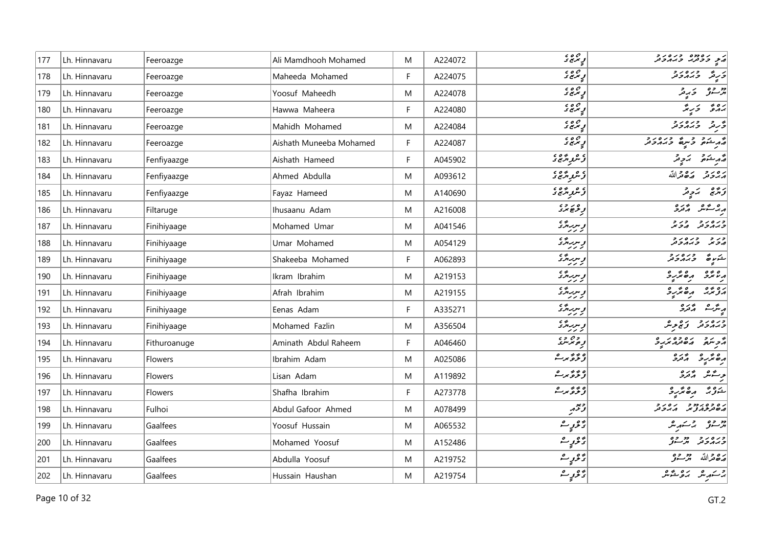| 177 | Lh. Hinnavaru | Feeroazge      | Ali Mamdhooh Mohamed    | M  | A224072 | م ه ه ه ه<br>مړين د                   | د د ده دده دره د د                        |
|-----|---------------|----------------|-------------------------|----|---------|---------------------------------------|-------------------------------------------|
| 178 | Lh. Hinnavaru | Feeroazge      | Maheeda Mohamed         | F. | A224075 |                                       | درگر دره در د                             |
| 179 | Lh. Hinnavaru | Feeroazge      | Yoosuf Maheedh          | M  | A224078 | و پرې                                 | ادو وه - ځ بر تر                          |
| 180 | Lh. Hinnavaru | Feeroazge      | Hawwa Maheera           | F  | A224080 | وچونج تر                              | رەپ رىر                                   |
| 181 | Lh. Hinnavaru | Feeroazge      | Mahidh Mohamed          | M  | A224084 | ە ە ە »<br>پ <sub>و</sub> سرى ئ       | ورو ورەرو                                 |
| 182 | Lh. Hinnavaru | Feeroazge      | Aishath Muneeba Mohamed | F  | A224087 | وپرېږ                                 | م وشنو و مره ورود و                       |
| 183 | Lh. Hinnavaru | Fenfiyaazge    | Aishath Hameed          | F  | A045902 | ۇ شرىر ئىمى ئى                        | أقهر مشكرة المتمر تر                      |
| 184 | Lh. Hinnavaru | Fenfiyaazge    | Ahmed Abdulla           | M  | A093612 | ې هروگړي<br>و شر <sub>وگ</sub> ري     | برورد بره دالله                           |
| 185 | Lh. Hinnavaru | Fenfiyaazge    | Fayaz Hameed            | M  | A140690 | ې مهمو پر <sub>م</sub> ه <sup>ي</sup> | تروی پر دیگر                              |
| 186 | Lh. Hinnavaru | Filtaruge      | Ihusaanu Adam           | M  | A216008 | و و ړ و ،<br>و نوڪ برد                | أمرشة شرقه ويره                           |
| 187 | Lh. Hinnavaru | Finihiyaage    | Mohamed Umar            | M  | A041546 | و سربر پژی<br>زیر بر                  | و ر ه ر د<br>تر پر تر تر<br>ور و<br>در تر |
| 188 | Lh. Hinnavaru | Finihiyaage    | Umar Mohamed            | M  | A054129 | و سربر پژی<br>نر بر بر                | כנ כנסנב<br>גביל כגגבת                    |
| 189 | Lh. Hinnavaru | Finihiyaage    | Shakeeba Mohamed        | F  | A062893 | او سریہ ہوئے<br>اسمبر پر پوری         | و ره ر و<br>تر پر ژنر<br>شەرەتە           |
| 190 | Lh. Hinnavaru | Finihiyaage    | Ikram Ibrahim           | M  | A219153 | و سربر پر <sup>ی</sup><br>بر بر بر    | ە ھەمەر 2<br>برھەمەر 2<br>وبناعرد         |
| 191 | Lh. Hinnavaru | Finihiyaage    | Afrah Ibrahim           | M  | A219155 | او سربر پر ج<br>او سربر پر چ          | ە ھەترىر ۋ<br>دوءه                        |
| 192 | Lh. Hinnavaru | Finihiyaage    | Eenas Adam              | F  | A335271 | او سربر دی<br>او سربر دی              | رېپرت<br>پھر ہ<br>مرکز پ                  |
| 193 | Lh. Hinnavaru | Finihiyaage    | Mohamed Fazlin          | M  | A356504 | او مدر پروژه<br><u>پرس</u>            | ورەرو رەپر                                |
| 194 | Lh. Hinnavaru | Fithuroanuge   | Aminath Abdul Raheem    | F. | A046460 | وه ده ده                              | و ده ده دره ده                            |
| 195 | Lh. Hinnavaru | <b>Flowers</b> | Ibrahim Adam            | M  | A025086 | <sub>2</sub> پۇ ئەرب                  | ە ھېڭرىرى<br>رەھىرىرى<br>ە ئەترى          |
| 196 | Lh. Hinnavaru | <b>Flowers</b> | Lisan Adam              | M  | A119892 | ۇ ئۇ ئۇ ئىرىشە                        | وشەش كەندە                                |
| 197 | Lh. Hinnavaru | <b>Flowers</b> | Shafha Ibrahim          | F  | A273778 | ە ئەقەرىر<br>ترى <i>خ قە</i> برىشە    | شوور رەپرى                                |
| 198 | Lh. Hinnavaru | Fulhoi         | Abdul Gafoor Ahmed      | M  | A078499 | ويومر                                 | נס כס גדרך מסגר<br>הסט <i>פה ציג</i> הגבע |
| 199 | Lh. Hinnavaru | Gaalfees       | Yoosuf Hussain          | M  | A065532 | ئۇ ئۇرې يە                            | دو وه د حسکه میگر                         |
| 200 | Lh. Hinnavaru | Gaalfees       | Mohamed Yoosuf          | M  | A152486 | ئۇ ئۇي <sub>ر</sub> م                 | כנסני מיפס<br>כ <i>ג</i> ונכני וליינ      |
| 201 | Lh. Hinnavaru | Gaalfees       | Abdulla Yoosuf          | M  | A219752 | ئۇ ئۇرې 2                             | برە تراللە<br>دد حرو                      |
| 202 | Lh. Hinnavaru | Gaalfees       | Hussain Haushan         | M  | A219754 | د یور م                               | بركسر بروشر                               |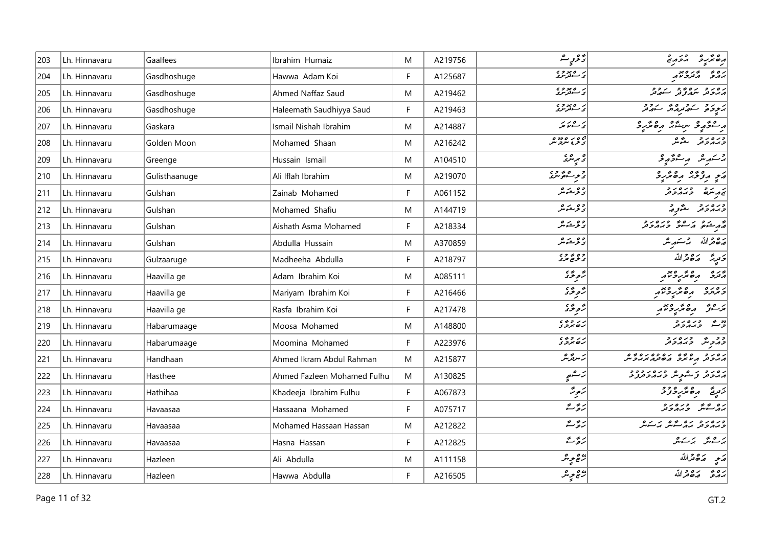| 203 | Lh. Hinnavaru | Gaalfees      | Ibrahim Humaiz              | M         | A219756 | ڈ ڈرپ ے                                    | مەھەر ئەدەبى                                                    |
|-----|---------------|---------------|-----------------------------|-----------|---------|--------------------------------------------|-----------------------------------------------------------------|
| 204 | Lh. Hinnavaru | Gasdhoshuge   | Hawwa Adam Koi              | F         | A125687 | ر ۔ 2 پر و ۽<br>ي سسهورين                  | ره ده دره پر<br>  پروژ مرفرونوم                                 |
| 205 | Lh. Hinnavaru | Gasdhoshuge   | Ahmed Naffaz Saud           | ${\sf M}$ | A219462 | ر ۔ 2 پر و ۽<br>ي سنترمزي                  | ره رو بره دو بروو<br>پرپروتر شهرترنبر سپهل                      |
| 206 | Lh. Hinnavaru | Gasdhoshuge   | Haleemath Saudhiyya Saud    | F         | A219463 | ر ره پو و ،<br>کارسوتوری                   | ג' ניכן להנגדה ליור                                             |
| 207 | Lh. Hinnavaru | Gaskara       | Ismail Nishah Ibrahim       | ${\sf M}$ | A214887 | ى سەئەتكە                                  | ر مؤثر و سر ده مورد و                                           |
| 208 | Lh. Hinnavaru | Golden Moon   | Mohamed Shaan               | M         | A216242 | ص م م م دور ص<br>  د م م د م مرد مرد       | ورەرو ئەھ                                                       |
| 209 | Lh. Hinnavaru | Greenge       | Hussain Ismail              | M         | A104510 | ه <sub>مو</sub> سری<br>د <sub>نو</sub> سری | برسكريش وسفوضي                                                  |
| 210 | Lh. Hinnavaru | Gulisthaanuge | Ali Iflah Ibrahim           | ${\sf M}$ | A219070 | دې موسفو تره                               | a 1000 0000 000                                                 |
| 211 | Lh. Hinnavaru | Gulshan       | Zainab Mohamed              | F         | A061152 | 3 مۇشەھر                                   | بم مرد وره دو                                                   |
| 212 | Lh. Hinnavaru | Gulshan       | Mohamed Shafiu              | M         | A144719 | 3 مۇشەھر                                   | وره د و د و                                                     |
| 213 | Lh. Hinnavaru | Gulshan       | Aishath Asma Mohamed        | F         | A218334 | 3 مى شەھر                                  | و در در در در در در در د                                        |
| 214 | Lh. Hinnavaru | Gulshan       | Abdulla Hussain             | M         | A370859 | 3 مى شەھر                                  | مەھىراللە جەسىم شە                                              |
| 215 | Lh. Hinnavaru | Gulzaaruge    | Madheeha Abdulla            | F         | A218797 | و ه پر و ،<br>د نومځ مرد                   | وَمَدِيَّةَ الْمَدَّةِ وَمَرَّاللَّهُ                           |
| 216 | Lh. Hinnavaru | Haavilla ge   | Adam Ibrahim Koi            | ${\sf M}$ | A085111 | ژٌه ژٌء                                    | أدره مره ومعر ومعمر                                             |
| 217 | Lh. Hinnavaru | Haavilla ge   | Mariyam Ibrahim Koi         | F         | A216466 | ژٌه ژٌر                                    | ە ئەترىر تەر<br>بەھ ئىرىر تەر<br>ر ه ر ه<br><del>ر</del> بربرگر |
| 218 | Lh. Hinnavaru | Haavilla ge   | Rasfa Ibrahim Koi           | F         | A217478 | رٌّہ ِ وَ دُ                               | برەپر مەنزىرە بىر<br>برگىز مەنزىردىن                            |
| 219 | Lh. Hinnavaru | Habarumaage   | Moosa Mohamed               | M         | A148800 | ر ر د د ،<br>ره برو د                      | ووقع المرور والمرد                                              |
| 220 | Lh. Hinnavaru | Habarumaage   | Moomina Mohamed             | F         | A223976 | ر ر د » ،<br>ره برو د                      | وو شهر وره دو                                                   |
| 221 | Lh. Hinnavaru | Handhaan      | Ahmed Ikram Abdul Rahman    | M         | A215877 | ئەس <i>ەرگەن</i> گە                        |                                                                 |
| 222 | Lh. Hinnavaru | Hasthee       | Ahmed Fazleen Mohamed Fulhu | ${\sf M}$ | A130825 | ئرشو                                       | ره رو و کشویر و بره بروود<br>پربروتر کشویر و بربروترونز         |
| 223 | Lh. Hinnavaru | Hathihaa      | Khadeeja Ibrahim Fulhu      | F         | A067873 | ئەموش                                      | زَمِرِةً مِرْهُ يُرْرِوْ ز                                      |
| 224 | Lh. Hinnavaru | Havaasaa      | Hassaana Mohamed            | F         | A075717 | رۇشە                                       | ره دی دره دو                                                    |
| 225 | Lh. Hinnavaru | Havaasaa      | Mohamed Hassaan Hassan      | ${\sf M}$ | A212822 | ر پۇشە                                     | ورەرو رەپ ھەرىپ                                                 |
| 226 | Lh. Hinnavaru | Havaasaa      | Hasna Hassan                | F         | A212825 | ر پۇشە                                     | يەك يەسكىلى                                                     |
| 227 | Lh. Hinnavaru | Hazleen       | Ali Abdulla                 | M         | A111158 | رجم پر مر                                  | أقهمت قدمة والله                                                |
| 228 | Lh. Hinnavaru | Hazleen       | Hawwa Abdulla               | F         | A216505 | ا شع پر مر<br>                             | بروء رووالله                                                    |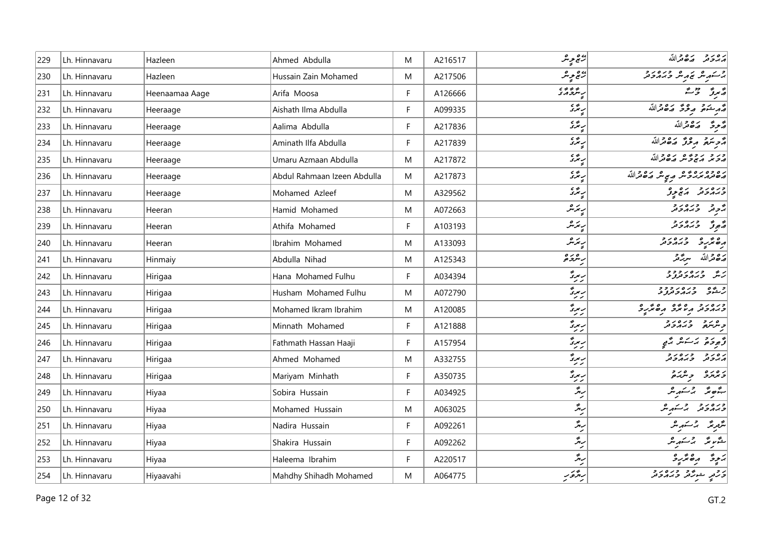| 229 | Lh. Hinnavaru | Hazleen        | Ahmed Abdulla               | M  | A216517 | رج مویٹر                                                                                                             | برورد بره دالله                            |
|-----|---------------|----------------|-----------------------------|----|---------|----------------------------------------------------------------------------------------------------------------------|--------------------------------------------|
| 230 | Lh. Hinnavaru | Hazleen        | Hussain Zain Mohamed        | M  | A217506 | رجم پر پر                                                                                                            | ج ڪمريڪ پر جي وير مرد                      |
| 231 | Lh. Hinnavaru | Heenaamaa Aage | Arifa Moosa                 | F. | A126666 | $\overline{\widetilde{\mathcal{S}}^{\mathcal{B}}_{\mathcal{A}}\widetilde{\mathcal{S}}^{\mathcal{B}}_{\mathcal{A}}},$ | ړمرز دمنه                                  |
| 232 | Lh. Hinnavaru | Heeraage       | Aishath Ilma Abdulla        | F. | A099335 | ر پوء<br>په پور                                                                                                      | مُ مِسْوَمٍ مِرْحَرَ مَصْعَرَ اللَّهَ      |
| 233 | Lh. Hinnavaru | Heeraage       | Aalima Abdulla              | F  | A217836 | ر پڑی<br>پ                                                                                                           | صحيح سكاه تدالله                           |
| 234 | Lh. Hinnavaru | Heeraage       | Aminath Ilfa Abdulla        | F  | A217839 | ر پڑی<br>پ                                                                                                           | أروبته مرفرق وكافرالله                     |
| 235 | Lh. Hinnavaru | Heeraage       | Umaru Azmaan Abdulla        | M  | A217872 | ر پر<br>پرسری                                                                                                        | ور و بروی بره درالله                       |
| 236 | Lh. Hinnavaru | Heeraage       | Abdul Rahmaan Izeen Abdulla | M  | A217873 | ر پوءِ<br>په مرد                                                                                                     | ره وه ره وه و مردم تر محمد الله            |
| 237 | Lh. Hinnavaru | Heeraage       | Mohamed Azleef              | M  | A329562 | ر پر<br>پرسمری                                                                                                       | ورەرو رەرو                                 |
| 238 | Lh. Hinnavaru | Heeran         | Hamid Mohamed               | M  | A072663 | رىئەنگە                                                                                                              | پژوند وبره دو                              |
| 239 | Lh. Hinnavaru | Heeran         | Athifa Mohamed              | F. | A103193 | رىرىگە                                                                                                               | أشهور وره دو                               |
| 240 | Lh. Hinnavaru | Heeran         | Ibrahim Mohamed             | M  | A133093 | رىرىگە                                                                                                               | ەرھەتمەر 2<br>ر<br>و ر ه ر و<br>تر پر ژ تر |
| 241 | Lh. Hinnavaru | Hinmaiv        | Abdulla Nihad               | M  | A125343 | ىر بىر <i>ج</i> ە                                                                                                    | أرجى فرالله سريح فر                        |
| 242 | Lh. Hinnavaru | Hirigaa        | Hana Mohamed Fulhu          | F  | A034394 | ىرىمەنچ                                                                                                              | زر وره د دود                               |
| 243 | Lh. Hinnavaru | Hirigaa        | Husham Mohamed Fulhu        | M  | A072790 | ىرىپرىگە<br>مەم                                                                                                      | و ۵۰ وره رووو<br>رخشو وبردونرو د           |
| 244 | Lh. Hinnavaru | Hirigaa        | Mohamed Ikram Ibrahim       | M  | A120085 | ىر بىرىگە<br>مەم                                                                                                     | כנסנב תיותב תסתנב                          |
| 245 | Lh. Hinnavaru | Hirigaa        | Minnath Mohamed             | F  | A121888 | ىرىمەنچ                                                                                                              | כ ייני פנים ניבור.<br>כ ייניים - כגובי בני |
| 246 | Lh. Hinnavaru | Hirigaa        | Fathmath Hassan Haaji       | F. | A157954 | ىرىپرى<br>مەم                                                                                                        | تو پر دی بر دیگر بر بر                     |
| 247 | Lh. Hinnavaru | Hirigaa        | Ahmed Mohamed               | M  | A332755 | ىر بىرىگە                                                                                                            | ג סגב בג סגב<br>הגבע בגהבע                 |
| 248 | Lh. Hinnavaru | Hirigaa        | Mariyam Minhath             | F  | A350735 | ىرىمەنچ                                                                                                              | נ סנים - סניב<br>הינתה - הינגים            |
| 249 | Lh. Hinnavaru | Hiyaa          | Sobira Hussain              | F  | A034925 | رېژ                                                                                                                  | بثعة بمنهر                                 |
| 250 | Lh. Hinnavaru | Hiyaa          | Mohamed Hussain             | M  | A063025 | ربز                                                                                                                  | ورەرو وسكەش                                |
| 251 | Lh. Hinnavaru | Hiyaa          | Nadira Hussain              | F  | A092261 | رېژ                                                                                                                  | لترمرنگ الاستهریش                          |
| 252 | Lh. Hinnavaru | Hiyaa          | Shakira Hussain             | F  | A092262 | رېژ                                                                                                                  | شور بالمستقرير                             |
| 253 | Lh. Hinnavaru | Hiyaa          | Haleema Ibrahim             | F  | A220517 | برېژ                                                                                                                 |                                            |
| 254 | Lh. Hinnavaru | Hiyaavahi      | Mahdhy Shihadh Mohamed      | M  | A064775 | ىرە ئەكەر                                                                                                            | ار و دره در در د                           |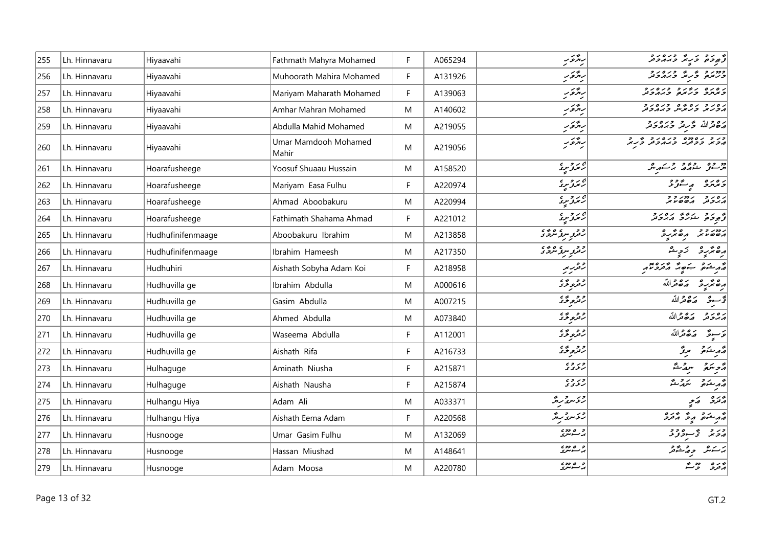| 255 | Lh. Hinnavaru | Hiyaavahi         | Fathmath Mahyra Mohamed       | F         | A065294 | رپڑر                                                      | و دو درو دره دو                                      |
|-----|---------------|-------------------|-------------------------------|-----------|---------|-----------------------------------------------------------|------------------------------------------------------|
| 256 | Lh. Hinnavaru | Hiyaavahi         | Muhoorath Mahira Mohamed      | F         | A131926 | ىرە ئەكەر                                                 | כחיו כ"ק כוסוב<br>כניתם כנית כממכת                   |
| 257 | Lh. Hinnavaru | Hiyaavahi         | Mariyam Maharath Mohamed      | F         | A139063 | ىرە ئەكەر                                                 | נסנס נדינד דנסנד<br>בינו <i>נד בנינ</i> ף בינוכת     |
| 258 | Lh. Hinnavaru | Hiyaavahi         | Amhar Mahran Mohamed          | M         | A140602 | ىرەدىھەر                                                  | נים בין ביטריים בינים ביביק.<br>הכניה בניהיות בימהכת |
| 259 | Lh. Hinnavaru | Hiyaavahi         | Abdulla Mahid Mohamed         | M         | A219055 | رېژوَر                                                    | رەداللە دۇرە دىرەرد                                  |
| 260 | Lh. Hinnavaru | Hiyaavahi         | Umar Mamdooh Mohamed<br>Mahir | M         | A219056 | ىرەژچە بە                                                 | כני כי ניסודים ובנים ביותר<br>הבת בבתמי במהכת בנית   |
| 261 | Lh. Hinnavaru | Hoarafusheege     | Yoosuf Shuaau Hussain         | ${\sf M}$ | A158520 | ج پر <i>ج</i> <sub>مو</sub> پر                            | مرسوق شهرها برستهر مر                                |
| 262 | Lh. Hinnavaru | Hoarafusheege     | Mariyam Easa Fulhu            | F         | A220974 | ہ ر د<br>رسو پرو                                          | و ده ده پر دو د                                      |
| 263 | Lh. Hinnavaru | Hoarafusheege     | Ahmad Aboobakuru              | ${\sf M}$ | A220994 | ج پر چ <sub>مو</sub> ءِ                                   | ג סג כ גדוג כ כ<br>גג כ ב גם ס צי                    |
| 264 | Lh. Hinnavaru | Hoarafusheege     | Fathimath Shahama Ahmad       | F         | A221012 | ج پر و <sub>س</sub> ور<br> ش <b>هرتر</b> س <sub>ی</sub> ر | و د د شرکو ده د و                                    |
| 265 | Lh. Hinnavaru | Hudhufinifenmaage | Aboobakuru Ibrahim            | M         | A213858 | ر د د <sub>و سر</sub> و مرد و                             |                                                      |
| 266 | Lh. Hinnavaru | Hudhufinifenmaage | Ibrahim Hameesh               | M         | A217350 | ر د د <sub>م</sub> رسو شرځ د <sup>6</sup>                 | رەنزىر ئېي                                           |
| 267 | Lh. Hinnavaru | Hudhuhiri         | Aishath Sobyha Adam Koi       | F         | A218958 | رقم ترید<br>  رقم تریم                                    | مەر شەر ئىستوم مەردىم                                |
| 268 | Lh. Hinnavaru | Hudhuvilla ge     | Ibrahim Abdulla               | M         | A000616 | د د پر ،<br>رندو ژک                                       | مرە ئرىرى مەھىراللە                                  |
| 269 | Lh. Hinnavaru | Hudhuvilla ge     | Gasim Abdulla                 | ${\sf M}$ | A007215 | ر و د و و د<br>ر تره مرد                                  | تح- وَ صَرَّةَ مِنْ اللَّهُ                          |
| 270 | Lh. Hinnavaru | Hudhuvilla ge     | Ahmed Abdulla                 | M         | A073840 | 3 قر <sub>م</sub> بحرى                                    | برەرد برە دالله                                      |
| 271 | Lh. Hinnavaru | Hudhuvilla ge     | Waseema Abdulla               | F         | A112001 | د د پر ،<br>رندو ژک                                       | أقرسومح أتماق فترالله                                |
| 272 | Lh. Hinnavaru | Hudhuvilla ge     | Aishath Rifa                  | F         | A216733 | د د پر ،<br>رندو ژک                                       | أقدم شدة المرقم                                      |
| 273 | Lh. Hinnavaru | Hulhaguge         | Aminath Niusha                | F         | A215871 | و ر و ،<br>رى ى                                           | أروسكم سهدسة                                         |
| 274 | Lh. Hinnavaru | Hulhaguge         | Aishath Nausha                | F         | A215874 | ح ر ح ي<br>رنگو ک                                         | أمام يشمع المتمر المتش                               |
| 275 | Lh. Hinnavaru | Hulhangu Hiya     | Adam Ali                      | ${\sf M}$ | A033371 | ر<br>رىخەسرى <i>ر</i> ىر                                  | أرترو كمبي                                           |
| 276 | Lh. Hinnavaru | Hulhangu Hiya     | Aishath Eema Adam             | F         | A220568 | ر<br>رىخەسرى <i>ر</i> ىر                                  | مەر شىم ئەر ئەرە                                     |
| 277 | Lh. Hinnavaru | Husnooge          | Umar Gasim Fulhu              | M         | A132069 | د په دو،                                                  |                                                      |
| 278 | Lh. Hinnavaru | Husnooge          | Hassan Miushad                | M         | A148641 | د په ددې<br>بر شوسر <sub>ۍ</sub>                          | يركبش ولاشتمل                                        |
| 279 | Lh. Hinnavaru | Husnooge          | Adam Moosa                    | M         | A220780 | د په ددې<br>بر شوسر <sub>ۍ</sub>                          | پر وہ دیگر                                           |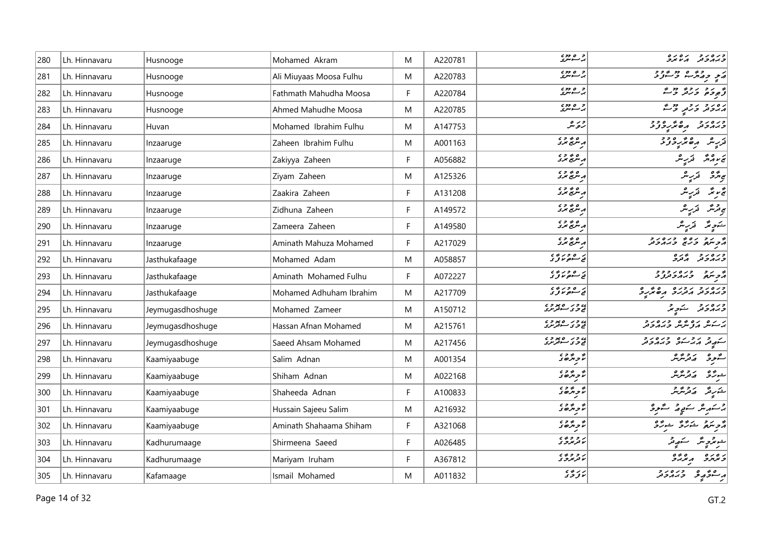| 280 | Lh. Hinnavaru | Husnooge         | Mohamed Akram           | M           | A220781 | و عبد دو ۽<br>پر سرمبري                 | כנסנכ נסנס                                                          |
|-----|---------------|------------------|-------------------------|-------------|---------|-----------------------------------------|---------------------------------------------------------------------|
| 281 | Lh. Hinnavaru | Husnooge         | Ali Miuyaas Moosa Fulhu | M           | A220783 | د په دو،                                | ړ په ده د درو                                                       |
| 282 | Lh. Hinnavaru | Husnooge         | Fathmath Mahudha Moosa  | E           | A220784 | د په ددې<br>بر سومبر                    | و دو دوو دو.                                                        |
| 283 | Lh. Hinnavaru | Husnooge         | Ahmed Mahudhe Moosa     | M           | A220785 | و ع <b>دد</b> ی                         | رەرو رور «ئ                                                         |
| 284 | Lh. Hinnavaru | Huvan            | Mohamed Ibrahim Fulhu   | M           | A147753 | حەر ھ<br>س <b>ەر</b> بىر                | כנסנב תפתחברב                                                       |
| 285 | Lh. Hinnavaru | Inzaaruge        | Zaheen Ibrahim Fulhu    | M           | A001163 | ەر بىرىنج ئىرى                          | زرید مقترب <del>ردن</del>                                           |
| 286 | Lh. Hinnavaru | Inzaaruge        | Zakiyya Zaheen          | F           | A056882 | ە مەھ د ،<br>مەمىرى مىرى                | ىم پەرگە ئەربىر                                                     |
| 287 | Lh. Hinnavaru | Inzaaruge        | Ziyam Zaheen            | M           | A125326 | ە شەيخ تىرى<br>مەسرىج تىرى              | ېږې پر ده.<br>د<br>فدريثر                                           |
| 288 | Lh. Hinnavaru | Inzaaruge        | Zaakira Zaheen          | F           | A131208 | ەر شرىج ئىرى<br>م                       | ې<br>ئارىخ<br>فتررٍ مثر                                             |
| 289 | Lh. Hinnavaru | Inzaaruge        | Zidhuna Zaheen          | F           | A149572 | ە شەيخ تىرى<br>مەسرىج تىرى              | ىبې قىرىنگر<br>فترسٍ مثنه                                           |
| 290 | Lh. Hinnavaru | Inzaaruge        | Zameera Zaheen          | F           | A149580 | ە ئەھ بەرى<br>مەسرىج <i>بى</i> رى       | س <i>ەدە ئەرى</i> ر                                                 |
| 291 | Lh. Hinnavaru | Inzaaruge        | Aminath Mahuza Mohamed  | F           | A217029 | ار مربح بر د ،<br>ابر مربح بر د         | 2000 1000 2000                                                      |
| 292 | Lh. Hinnavaru | Jasthukafaage    | Mohamed Adam            | M           | A058857 | ر ره د ر ږ ،<br>نئ سوړين تو د           | כנסנכ שנם<br><i>כג</i> ובבת ובבב                                    |
| 293 | Lh. Hinnavaru | Jasthukafaage    | Aminath Mohamed Fulhu   | $\mathsf F$ | A072227 | ر ۱۶۵۷ و.<br>پي سنده در بو د            | و در دره دود.<br>دگرسی در دولان                                     |
| 294 | Lh. Hinnavaru | Jasthukafaage    | Mohamed Adhuham Ibrahim | M           | A217709 | ر ره د ره د<br>نئ <sup>6</sup> سوم تو د | כמחכת התנכ" השתייכ                                                  |
| 295 | Lh. Hinnavaru | Jeymugasdhoshuge | Mohamed Zameer          | M           | A150712 | دے و رے یو و ء<br>فع حر ی مسئونس پری    | ورەرو شەرىر                                                         |
| 296 | Lh. Hinnavaru | Jeymugasdhoshuge | Hassan Afnan Mohamed    | M           | A215761 | ء، و ر۔ ہ مو و ،<br>مح و ی سسور پری     | ر کے مرکز مرکز دیے دیا ہے جاتی ہے۔<br>برکستیں مرکز میں مرکز جاتی ہے |
| 297 | Lh. Hinnavaru | Jeymugasdhoshuge | Saeed Ahsam Mohamed     | M           | A217456 | دے و رے پو و ء<br>فع حرمی مسلومور       | سکه فر برو رو وره د و                                               |
| 298 | Lh. Hinnavaru | Kaamiyaabuqe     | Salim Adnan             | M           | A001354 | ء - ويحوي<br>ما تر پڙھي                 | الشووا المترشر                                                      |
| 299 | Lh. Hinnavaru | Kaamiyaabuge     | Shiham Adnan            | M           | A022168 | پ <sup>ر</sup> و بره ی<br>ما د بره ی    | <sub>ىشو</sub> ر ۋ<br>ىر 3 مۇيىر<br>مەنىرىترىتر                     |
| 300 | Lh. Hinnavaru | Kaamiyaabuge     | Shaheeda Adnan          | F           | A100833 | په په ده<br>تارگرفت                     | الشمرين ويومون<br>الشمرين                                           |
| 301 | Lh. Hinnavaru | Kaamiyaabuqe     | Hussain Sajeeu Salim    | M           | A216932 | ءُ حرچ وي<br>تڏ حرچ وي                  | چستنزینگر ستنجویکی ستنجوی                                           |
| 302 | Lh. Hinnavaru | Kaamiyaabuge     | Aminath Shahaama Shiham | F           | A321068 | ړه ده ده<br>تر پر ه                     | و برو دورو به ده<br>ارد شهر شرکته ب                                 |
| 303 | Lh. Hinnavaru | Kadhurumaage     | Shirmeena Saeed         | F           | A026485 | ر و و د ،<br>ما توبورگ                  | جوهرد شرکته در میکند.<br>مرگز                                       |
| 304 | Lh. Hinnavaru | Kadhurumaage     | Mariyam Iruham          | F           | A367812 | ر و و د ،<br>ما توبورگ                  | גם גם התגב                                                          |
| 305 | Lh. Hinnavaru | Kafamaage        | Ismail Mohamed          | M           | A011832 | ر ر پر پر<br>ما تو <del>ر</del> د       | و عرضه وره در                                                       |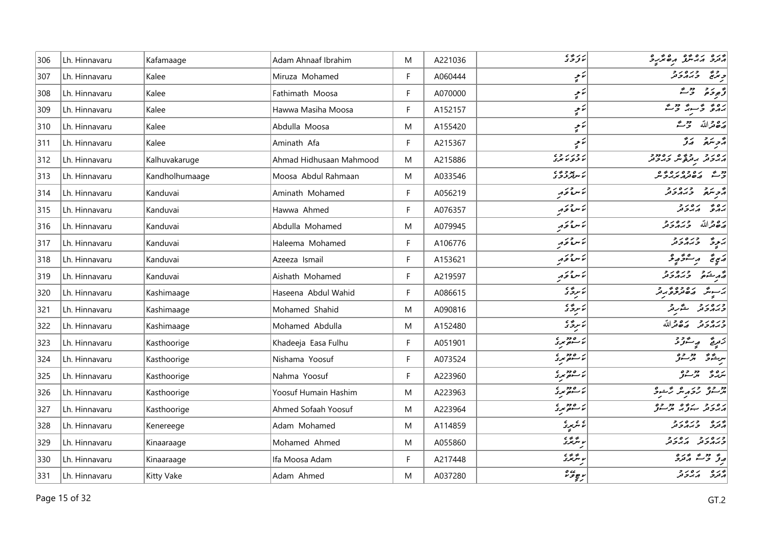| 306 | Lh. Hinnavaru | Kafamaage         | Adam Ahnaaf Ibrahim     | M  | A221036 | ر ر » ،<br>ما ؤ ژ د                  | وره ره وه ه وره کرد                             |
|-----|---------------|-------------------|-------------------------|----|---------|--------------------------------------|-------------------------------------------------|
| 307 | Lh. Hinnavaru | Kalee             | Miruza Mohamed          | F  | A060444 | ئىمو                                 |                                                 |
| 308 | Lh. Hinnavaru | Kalee             | Fathimath Moosa         | F. | A070000 | ئىمىي                                | وٌ و دو "                                       |
| 309 | Lh. Hinnavaru | Kalee             | Hawwa Masiha Moosa      | F  | A152157 | ئىي                                  | رەپ ۋىدۇ ۋى                                     |
| 310 | Lh. Hinnavaru | Kalee             | Abdulla Moosa           | M  | A155420 | ئىمىي                                | مَدْهُ مِّرْ اللَّهُ حَرْثَةُ                   |
| 311 | Lh. Hinnavaru | Kalee             | Aminath Afa             | F  | A215367 | ئىي                                  | ړې په د تو                                      |
| 312 | Lh. Hinnavaru | Kalhuvakaruge     | Ahmad Hidhusaan Mahmood | M  | A215886 | ر ور ر و ،<br>ما نوبو ما بو <u>ی</u> | ره رو بروده ره دوو<br>پربروتر برتردگر بر وبروتر |
| 313 | Lh. Hinnavaru | Kandholhumaage    | Moosa Abdul Rahmaan     | M  | A033546 | ر سو و و د<br>ما سرتر و د            | מ מ מספס מסמס<br>כ- השנה <i>הגב</i> ית          |
| 314 | Lh. Hinnavaru | Kanduvai          | Aminath Mohamed         | F  | A056219 | ئەسە ئەر                             | أثر سرد وره در                                  |
| 315 | Lh. Hinnavaru | Kanduvai          | Hawwa Ahmed             | F  | A076357 | لأسدقهم                              | ره د رور و<br>برادگان مرکزدگر                   |
| 316 | Lh. Hinnavaru | Kanduvai          | Abdulla Mohamed         | M  | A079945 | لأسدقهم                              | برە تراللە<br>و رە ر د<br>تر پروتر              |
| 317 | Lh. Hinnavaru | Kanduvai          | Haleema Mohamed         | F  | A106776 | لأمتدنوكم                            | و ره ر د<br><i>د ب</i> رگرفر<br>بزىي            |
| 318 | Lh. Hinnavaru | Kanduvai          | Azeeza Ismail           | F  | A153621 | لأسدة عرمه                           | ړې په مرشو په و                                 |
| 319 | Lh. Hinnavaru | Kanduvai          | Aishath Mohamed         | F  | A219597 | لأسدقهم                              | وكرشن وره دو                                    |
| 320 | Lh. Hinnavaru | Kashimaage        | Haseena Abdul Wahid     | F  | A086615 | ر<br>مأمرچۍ                          | ئەسىس مەھەر <i>ۈۋىد</i> و                       |
| 321 | Lh. Hinnavaru | Kashimaage        | Mohamed Shahid          | M  | A090816 | ر<br>مأمرچۍ                          | ورەر دېمبر د                                    |
| 322 | Lh. Hinnavaru | Kashimaage        | Mohamed Abdulla         | M  | A152480 | ر<br>ما مورد د                       | وره رو بره دالله                                |
| 323 | Lh. Hinnavaru | Kasthoorige       | Khadeeja Easa Fulhu     | F  | A051901 | ر ۶۶۵ و.<br>ما سنوه مرد              | زَمرِيحَ - مٍرِ يَحْوُمُوا                      |
| 324 | Lh. Hinnavaru | Kasthoorige       | Nishama Yoosuf          | F  | A073524 | ر حدود بر<br>ما سعوم مرد             |                                                 |
| 325 | Lh. Hinnavaru | Kasthoorige       | Nahma Yoosuf            | F  | A223960 | ر ده دد د.<br>ما سوچ بوری            | بره به دوره وه                                  |
| 326 | Lh. Hinnavaru | Kasthoorige       | Yoosuf Humain Hashim    | M  | A223963 | ر دود د<br>ما سنوه مرد               | دو وه در در مر گردو                             |
| 327 | Lh. Hinnavaru | Kasthoorige       | Ahmed Sofaah Yoosuf     | M  | A223964 | ر حدود بر<br>ما سنعو مبری            | נסג כן גם מכס<br>הגבה התנג תיית                 |
| 328 | Lh. Hinnavaru | Kenereege         | Adam Mohamed            | M  | A114859 | ئە يىگە پىرى<br>ئ                    | پره وره رو<br>مرتزقر <i>وب</i> مروتر            |
| 329 | Lh. Hinnavaru | Kinaaraage        | Mohamed Ahmed           | M  | A055860 | بېرىقىيى                             | כנסנכ נסנכ<br>כגמכ <mark>ט מ</mark> גכ <b>ט</b> |
| 330 | Lh. Hinnavaru | Kinaaraage        | Ifa Moosa Adam          | F. | A217448 | ىر مەرىپى<br>س                       | په دو د په دره                                  |
| 331 | Lh. Hinnavaru | <b>Kitty Vake</b> | Adam Ahmed              | M  | A037280 | ע פיטי<br>תש                         | پره رور د                                       |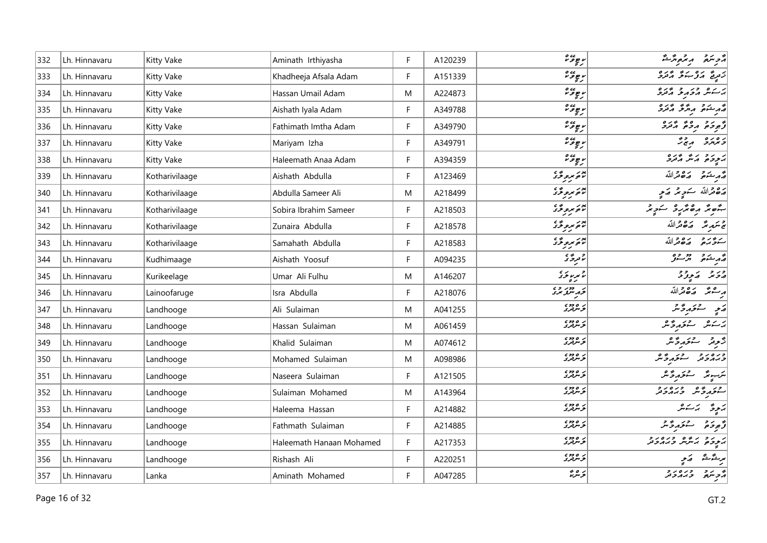| 332 | Lh. Hinnavaru | <b>Kitty Vake</b> | Aminath Irthiyasha       | F         | A120239 | <br>  ریو در<br>  ریو           | أأدبتهم وبمورشة                     |
|-----|---------------|-------------------|--------------------------|-----------|---------|---------------------------------|-------------------------------------|
| 333 | Lh. Hinnavaru | <b>Kitty Vake</b> | Khadheeja Afsala Adam    | F         | A151339 | ו<br>תפקים<br>ת                 | كَيْرِيحَ أَرُوْجِيَةً أَرْبَعْتُ   |
| 334 | Lh. Hinnavaru | <b>Kitty Vake</b> | Hassan Umail Adam        | ${\sf M}$ | A224873 | ו<br>תפקים<br>ת                 |                                     |
| 335 | Lh. Hinnavaru | Kitty Vake        | Aishath Iyala Adam       | F         | A349788 | ו<br>תפקים<br>ת                 | و مشتمر و الرقم و دره               |
| 336 | Lh. Hinnavaru | <b>Kitty Vake</b> | Fathimath Imtha Adam     | F         | A349790 | ו<br>תפקים<br>ת                 | تحج أوجو مرحوم مرحرح                |
| 337 | Lh. Hinnavaru | <b>Kitty Vake</b> | Mariyam Izha             | F         | A349791 | ע פיטים<br>תשפע                 | أومروح ومجرم                        |
| 338 | Lh. Hinnavaru | <b>Kitty Vake</b> | Haleemath Anaa Adam      | F         | A394359 | ע שימים<br>תשפע                 | بر دو برنگ مرده                     |
| 339 | Lh. Hinnavaru | Kotharivilaage    | Aishath Abdulla          | F         | A123469 | بىر ئىرە ئىچ<br>ئامۇمرە ئىچى    | صمر شدة صكرة الله                   |
| 340 | Lh. Hinnavaru | Kotharivilaage    | Abdulla Sameer Ali       | ${\sf M}$ | A218499 | #مَوسِرِ عِرْ دَ                | رَحْمَدْاللَّهُ حَمَدٍ يَرْمَ إِ    |
| 341 | Lh. Hinnavaru | Kotharivilaage    | Sobira Ibrahim Sameer    | F         | A218503 | يورېږو په دي<br>  یوهم پېړنو تر |                                     |
| 342 | Lh. Hinnavaru | Kotharivilaage    | Zunaira Abdulla          | F         | A218578 | بيو بر پروتز کی                 | لتح سَمَدِ مَحَمَّدَ وَ حَدَّاللّهَ |
| 343 | Lh. Hinnavaru | Kotharivilaage    | Samahath Abdulla         | F         | A218583 | بىر ئىرە ئىچ<br>ئامۇمرە ئىچى    | حويره مكافرالله                     |
| 344 | Lh. Hinnavaru | Kudhimaage        | Aishath Yoosuf           | F         | A094235 | و مورځ ته<br>مومورځ             | انجر پر شده ده<br>اور سنوم افراد وه |
| 345 | Lh. Hinnavaru | Kurikeelage       | Umar Ali Fulhu           | ${\sf M}$ | A146207 | ئەبىر بويى<br>                  | ور و په دول                         |
| 346 | Lh. Hinnavaru | Lainoofaruge      | Isra Abdulla             | F         | A218076 | ىر دور د ،<br>خەرسىمگە ئىرى     | م <sup>ع</sup> قم مَصْعَراللّه      |
| 347 | Lh. Hinnavaru | Landhooge         | Ali Sulaiman             | M         | A041255 | ر ۵ دو ء<br>موسرپر <sub>ی</sub> | أەَمِ سُمْعَهُ وَحَمَّد             |
| 348 | Lh. Hinnavaru | Landhooge         | Hassan Sulaiman          | ${\sf M}$ | A061459 | ر ۵۶۵ تا<br>مرس فرگ             | بركستان ستخار ومحار                 |
| 349 | Lh. Hinnavaru | Landhooge         | Khalid Sulaiman          | M         | A074612 | ر ۱۶۶۵<br>موسربر <sub>ک</sub>   |                                     |
| 350 | Lh. Hinnavaru | Landhooge         | Mohamed Sulaiman         | M         | A098986 | ر ۵ دو ،<br>نوسربر <sub>ک</sub> | ورەر دىگرۇش                         |
| 351 | Lh. Hinnavaru | Landhooge         | Naseera Sulaiman         | F         | A121505 | ر ۵ دو ،<br>نوسربر <sub>ک</sub> | ىكرىيەنگە سىمر <i>ۇشى</i><br>ئ      |
| 352 | Lh. Hinnavaru | Landhooge         | Sulaiman Mohamed         | ${\sf M}$ | A143964 | ر ۵۶۵ تا<br>نومبربری            | הינגלית בגבנים                      |
| 353 | Lh. Hinnavaru | Landhooge         | Haleema Hassan           | F         | A214882 | ر ۵ دو ء<br>موسربر              | ىكتوى كالكامل                       |
| 354 | Lh. Hinnavaru | Landhooge         | Fathmath Sulaiman        | F         | A214885 | ر ۵۶۵ و<br>موسربر و             | ۇ بۇرۇ سىزىرۇش                      |
| 355 | Lh. Hinnavaru | Landhooge         | Haleemath Hanaan Mohamed | F         | A217353 | ر ۵ دو ،<br>نوسربر <sub>ک</sub> | ر دو ره ه وره دو                    |
| 356 | Lh. Hinnavaru | Landhooge         | Rishash Ali              | F         | A220251 | ر ۵ وو ،<br>نومبربری            | ىرىشىگە كەم                         |
| 357 | Lh. Hinnavaru | Lanka             | Aminath Mohamed          | F         | A047285 | ئەھەر                           | 77073 3507                          |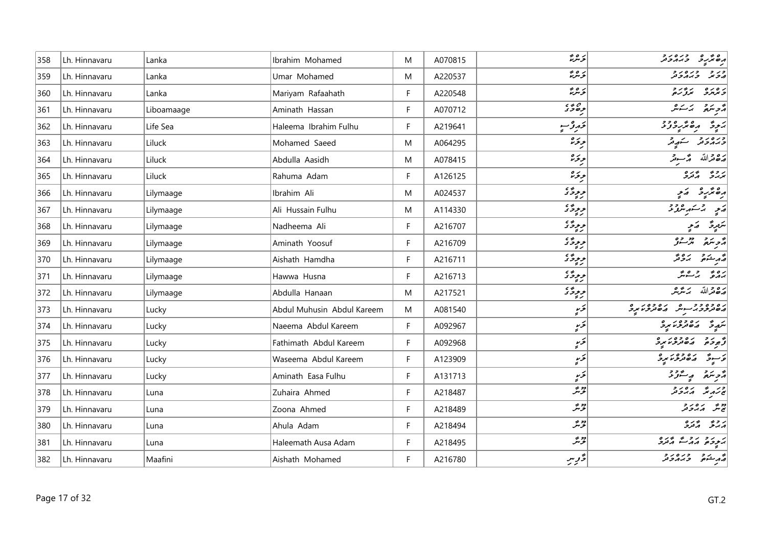| 358 | Lh. Hinnavaru | Lanka      | Ibrahim Mohamed            | M           | A070815 | ر ه په<br>موس            |                                                                                                                                                                                                                                 |
|-----|---------------|------------|----------------------------|-------------|---------|--------------------------|---------------------------------------------------------------------------------------------------------------------------------------------------------------------------------------------------------------------------------|
| 359 | Lh. Hinnavaru | Lanka      | Umar Mohamed               | M           | A220537 | ئەشرىئە                  | و ره ر د<br>تر پر تر تر<br>و ر و<br>در د بر                                                                                                                                                                                     |
| 360 | Lh. Hinnavaru | Lanka      | Mariyam Rafaahath          | F.          | A220548 | ر ه په<br>موسر <i>ما</i> | ر ہ رہ ۔<br>و بوہرو ۔ بوتر رہ                                                                                                                                                                                                   |
| 361 | Lh. Hinnavaru | Liboamaage | Aminath Hassan             | $\mathsf F$ | A070712 | م ه و ،<br>مون د د       | ۇ بەيدە ئەسەھ                                                                                                                                                                                                                   |
| 362 | Lh. Hinnavaru | Life Sea   | Haleema Ibrahim Fulhu      | F.          | A219641 | ځه د ژب                  | يروش وەتمرورو                                                                                                                                                                                                                   |
| 363 | Lh. Hinnavaru | Liluck     | Mohamed Saeed              | M           | A064295 | وڈرا                     | وره رو در د                                                                                                                                                                                                                     |
| 364 | Lh. Hinnavaru | Liluck     | Abdulla Aasidh             | M           | A078415 | وؤثا                     | أرَدْ مَرَ اللَّهُ مُرَّ - مَرْ                                                                                                                                                                                                 |
| 365 | Lh. Hinnavaru | Liluck     | Rahuma Adam                | F.          | A126125 | وئرثا                    | ر و په موره<br>بربرگ مرکزو                                                                                                                                                                                                      |
| 366 | Lh. Hinnavaru | Lilymaage  | Ibrahim Ali                | M           | A024537 | ووڈء                     |                                                                                                                                                                                                                                 |
| 367 | Lh. Hinnavaru | Lilymaage  | Ali Hussain Fulhu          | M           | A114330 | ووڈء                     | دي چي شهر هويو.<br>دي چي شهر هويو.<br>سميږي د دي چي                                                                                                                                                                             |
| 368 | Lh. Hinnavaru | Lilymaage  | Nadheema Ali               | F.          | A216707 | ووڈء                     |                                                                                                                                                                                                                                 |
| 369 | Lh. Hinnavaru | Lilymaage  | Aminath Yoosuf             | F.          | A216709 | ووڈءُ                    | ו הודי היה בין היו היה היה בין היו היה בין היו היו ליין בין היו ליין בין היין ליין בין היין בין היין בין היין<br>היין בין היין בין היין בין היין בין היין בין היין בין היין בין היין בין היין בין היין בין בין היין בין בין היי |
| 370 | Lh. Hinnavaru | Lilymaage  | Aishath Hamdha             | F.          | A216711 | ووڈء                     | مەرشۇم بەرەم                                                                                                                                                                                                                    |
| 371 | Lh. Hinnavaru | Lilymaage  | Hawwa Husna                | F.          | A216713 | ووڈ ڈ<br>ر               | رەپ روپر                                                                                                                                                                                                                        |
| 372 | Lh. Hinnavaru | Lilymaage  | Abdulla Hanaan             | M           | A217521 | ووژگر<br>رو              | بَرْحْقَرْاللَّهُ بَرْشَرْشَ                                                                                                                                                                                                    |
| 373 | Lh. Hinnavaru | Lucky      | Abdul Muhusin Abdul Kareem | M           | A081540 | تخرمي                    | גם כם כבר הם הפרט ביטות כ                                                                                                                                                                                                       |
| 374 | Lh. Hinnavaru | Lucky      | Naeema Abdul Kareem        | F.          | A092967 | ځومړ                     | شهرم مصر ده در م                                                                                                                                                                                                                |
| 375 | Lh. Hinnavaru | Lucky      | Fathimath Abdul Kareem     | F.          | A092968 | ځېږ                      | و د د ده ده ده.<br>د گوره ماه ترونامور                                                                                                                                                                                          |
| 376 | Lh. Hinnavaru | Lucky      | Waseema Abdul Kareem       | F.          | A123909 | ځوسي                     | و سوځ ده ده د ور                                                                                                                                                                                                                |
| 377 | Lh. Hinnavaru | Lucky      | Aminath Easa Fulhu         | F.          | A131713 | ځېږ                      | أأترجع وسنور                                                                                                                                                                                                                    |
| 378 | Lh. Hinnavaru | Luna       | Zuhaira Ahmed              | F           | A218487 | چونئر                    | جزیر پرورو                                                                                                                                                                                                                      |
| 379 | Lh. Hinnavaru | Luna       | Zoona Ahmed                | F           | A218489 | چونئر                    | ادو میں مرکز دیا<br>اسح میں مرکز تر دی                                                                                                                                                                                          |
| 380 | Lh. Hinnavaru | Luna       | Ahula Adam                 | F.          | A218494 | دد محر                   | ر وی په ده د                                                                                                                                                                                                                    |
| 381 | Lh. Hinnavaru | Luna       | Haleemath Ausa Adam        | F.          | A218495 | تزيتر                    | ג׳ ג׳ ג׳ ג׳ ג׳ בי                                                                                                                                                                                                               |
| 382 | Lh. Hinnavaru | Maafini    | Aishath Mohamed            | F.          | A216780 | څ تو سر                  | ه در دره در<br>مگرشو در در                                                                                                                                                                                                      |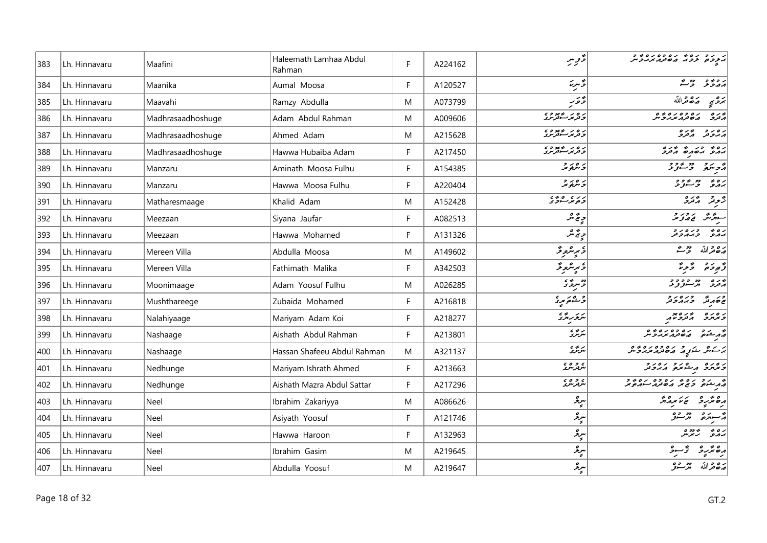| 383 | Lh. Hinnavaru | Maafini           | Haleemath Lamhaa Abdul<br>Rahman | F           | A224162 | مۇرىبە<br>س                            | ה גב גם גם בסגם בב<br>ה בכם יכבה הסינה ההכית               |
|-----|---------------|-------------------|----------------------------------|-------------|---------|----------------------------------------|------------------------------------------------------------|
| 384 | Lh. Hinnavaru | Maanika           | Aumal Moosa                      | F           | A120527 | ۇ سرىد                                 | ەدەپە<br>ست مشتر می                                        |
| 385 | Lh. Hinnavaru | Maavahi           | Ramzy Abdulla                    | M           | A073799 | ۇ ئەر                                  | برومج<br>برءقرالله                                         |
| 386 | Lh. Hinnavaru | Madhrasaadhoshuge | Adam Abdul Rahman                | M           | A009606 | ر ہ ر بے پو و ،<br>ترتدیز سے تر تر ی   | په ره<br>د ترو<br>ر ه و و ه ر ه د ه<br>پره تر پر بر تر س   |
| 387 | Lh. Hinnavaru | Madhrasaadhoshuge | Ahmed Adam                       | M           | A215628 | ر ہ ر بے یو و ،<br>و تو پوسٹوتو پوی    | ره رح ده<br>پرکار د کردگر                                  |
| 388 | Lh. Hinnavaru | Madhrasaadhoshuqe | Hawwa Hubaiba Adam               | F.          | A217450 | ر ہ ر بے یو و ،<br>ترتدیز سے تر تر ی   | גם ז' כג ז' ז'נים                                          |
| 389 | Lh. Hinnavaru | Manzaru           | Aminath Moosa Fulhu              | F           | A154385 | ر ه پر د                               | د ه شو د د<br>ړ د سره                                      |
| 390 | Lh. Hinnavaru | Manzaru           | Hawwa Moosa Fulhu                | F.          | A220404 | ر ەر د<br>ق <sup>ىر</sup> بۇ ئىر       | ر ه بو<br>برد څ<br>د د مشور د                              |
| 391 | Lh. Hinnavaru | Matharesmaage     | Khalid Adam                      | M           | A152428 | ر ر ، م ه » ،<br><del>و ه</del> مرسو د | تزوتر ارتزو                                                |
| 392 | Lh. Hinnavaru | Meezaan           | Siyana Jaufar                    | F           | A082513 | حەيچ يىگە                              | سەرگە ئەرىر                                                |
| 393 | Lh. Hinnavaru | Meezaan           | Hawwa Mohamed                    | F           | A131326 | جە ئەڭر                                | رە بە<br>بەد بۇ<br>و ر ه ر و<br><i>و بر</i> گرمز           |
| 394 | Lh. Hinnavaru | Mereen Villa      | Abdulla Moosa                    | M           | A149602 | د سر ير عر عر                          | برە تراللە<br>دين شر                                       |
| 395 | Lh. Hinnavaru | Mereen Villa      | Fathimath Malika                 | F           | A342503 | د سر سر هر ځه                          | ۇ بۇ جۇ ج<br>ژٌ دِ رُ                                      |
| 396 | Lh. Hinnavaru | Moonimaage        | Adam Yoosuf Fulhu                | M           | A026285 | ود سرچ ی<br>څسرچ <sub>ک</sub>          | دد و د د د<br>در سورو د<br>په ره<br>د ترو                  |
| 397 | Lh. Hinnavaru | Mushthareege      | Zubaida Mohamed                  | F           | A216818 | و ۵۰۰ مر <sub>ی</sub>                  | و رە ر د<br>تر پر تر تر<br>ح ئەمرىت <sub>ىر</sub>          |
| 398 | Lh. Hinnavaru | Nalahiyaage       | Mariyam Adam Koi                 | F           | A218277 | ا پرنېر په <sup>پ</sup>                | ر ه ر ه<br><del>ر</del> بربرگ<br>که ده به<br>مرفرونوم      |
| 399 | Lh. Hinnavaru | Nashaage          | Aishath Abdul Rahman             | F           | A213801 | ر پر ،<br>سربری                        | ه در ده ده ده ده وه.<br>پژوشو و پره در برند و س            |
| 400 | Lh. Hinnavaru | Nashaage          | Hassan Shafeeu Abdul Rahman      | M           | A321137 | ر پر ہ<br>سربری                        | ر رو مشهور ده ده ده ده و<br>بر کامل شور پر پره تربر بربر س |
| 401 | Lh. Hinnavaru | Nedhunge          | Mariyam Ishrath Ahmed            | F           | A213663 | ء ج ۾<br>سربرسري                       |                                                            |
| 402 | Lh. Hinnavaru | Nedhunge          | Aishath Mazra Abdul Sattar       | $\mathsf F$ | A217296 | ے و ہ ۽<br>سربرسر <sub>ک</sub>         |                                                            |
| 403 | Lh. Hinnavaru | Neel              | Ibrahim Zakariyya                | M           | A086626 | سرچر                                   | مەھترىرى ئەسىمىدىگە                                        |
| 404 | Lh. Hinnavaru | Neel              | Asiyath Yoosuf                   | F           | A121746 | سرچر                                   | پ <sup>ر</sup> سەدىرە<br>ېز يەر                            |
| 405 | Lh. Hinnavaru | Neel              | Hawwa Haroon                     | F           | A132963 | سرچر                                   | برە پە<br>یر دو ه<br>رنجونتر                               |
| 406 | Lh. Hinnavaru | Neel              | Ibrahim Gasim                    | M           | A219645 | سرچر                                   | ە ھەترىرى<br>بر ھەترىرى                                    |
| 407 | Lh. Hinnavaru | Neel              | Abdulla Yoosuf                   | M           | A219647 | سرچر                                   | برە برالله<br>دد حره<br>در سور                             |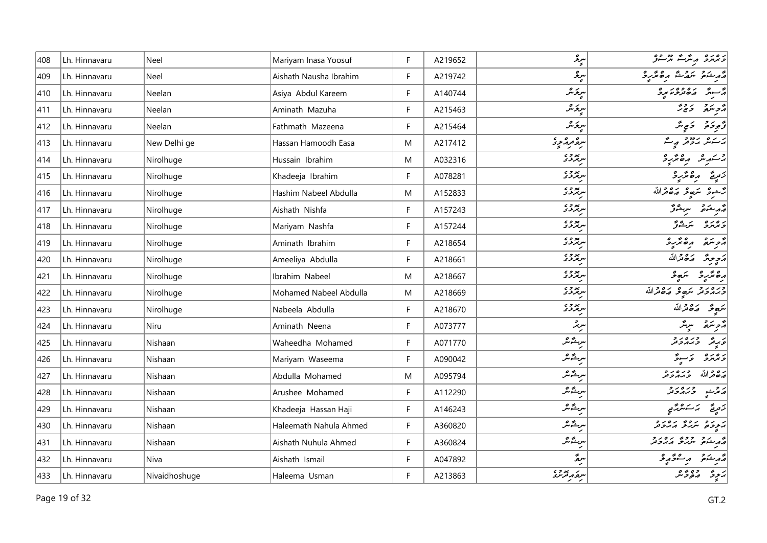| 408 | Lh. Hinnavaru | Neel          | Mariyam Inasa Yoosuf   | F         | A219652 | سرچر                    | د ه د ه مرسمه مرسوم<br>  د بر مرسم مرسوم      |
|-----|---------------|---------------|------------------------|-----------|---------|-------------------------|-----------------------------------------------|
| 409 | Lh. Hinnavaru | Neel          | Aishath Nausha Ibrahim | F         | A219742 | سرچر                    | أقهر مشمع سمد مشرور المستعمر المستعمر         |
| 410 | Lh. Hinnavaru | Neelan        | Asiya Abdul Kareem     | F         | A140744 | سرىخىشر                 | بو به ده ده ده د ه<br>مرسوس مده تروم مرد      |
| 411 | Lh. Hinnavaru | Neelan        | Aminath Mazuha         | F         | A215463 | سرىخەشر                 | أزوينهم وبور                                  |
| 412 | Lh. Hinnavaru | Neelan        | Fathmath Mazeena       | F         | A215464 | اسرپزیگر                | أزودتم وكالمر                                 |
| 413 | Lh. Hinnavaru | New Delhi ge  | Hassan Hamoodh Easa    | ${\sf M}$ | A217412 | سره مره مو <sup>ځ</sup> | ير پرور په دود کې په                          |
| 414 | Lh. Hinnavaru | Nirolhuge     | Hussain Ibrahim        | ${\sf M}$ | A032316 | سرمز د ه<br>سرمز د د    |                                               |
| 415 | Lh. Hinnavaru | Nirolhuge     | Khadeeja Ibrahim       | F         | A078281 | سرپروی<br>سرپردی        | كَتْرِيعٌ مِنْ مُرْكَبِ                       |
| 416 | Lh. Hinnavaru | Nirolhuge     | Hashim Nabeel Abdulla  | ${\sf M}$ | A152833 | سر پر د د<br>سرپر د د   | تَحْسُودَ سَعِيمَ صَدَّقَاللَّهُ              |
| 417 | Lh. Hinnavaru | Nirolhuge     | Aishath Nishfa         | F         | A157243 | سرپرو ۽<br>سرپرو ي      | وكرمشكم المرمشوش                              |
| 418 | Lh. Hinnavaru | Nirolhuge     | Mariyam Nashfa         | F         | A157244 | سرپر و ۽<br>سرپر لاي    | رەرە سَرْشۇ                                   |
| 419 | Lh. Hinnavaru | Nirolhuge     | Aminath Ibrahim        | F         | A218654 | سرپروی<br>سرپردی        | ەرھەترىر <sup>ى</sup><br>أرمز تركيحه          |
| 420 | Lh. Hinnavaru | Nirolhuge     | Ameeliya Abdulla       | F         | A218661 | استعرف                  | ەھىراللە<br>تزوجه                             |
| 421 | Lh. Hinnavaru | Nirolhuge     | Ibrahim Nabeel         | ${\sf M}$ | A218667 | سرمزد د<br>سرمزد د      | رەئزرو سەر                                    |
| 422 | Lh. Hinnavaru | Nirolhuge     | Mohamed Nabeel Abdulla | ${\sf M}$ | A218669 | سرپروی<br>سرپرنوی       | ورورو ترمو رودالله                            |
| 423 | Lh. Hinnavaru | Nirolhuge     | Nabeela Abdulla        | F         | A218670 | سر پر و ۽<br>سرپر لائ   | <b>سَعِيمَتْهُ مَدَهْدَ</b> اللّهُ            |
| 424 | Lh. Hinnavaru | Niru          | Aminath Neena          | F         | A073777 | سرچر                    |                                               |
| 425 | Lh. Hinnavaru | Nishaan       | Waheedha Mohamed       | F         | A071770 | سرڪرهر                  | ر<br>ئەر ئىگە<br>و ره ر د<br><i>د ب</i> رگرفر |
| 426 | Lh. Hinnavaru | Nishaan       | Mariyam Waseema        | F         | A090042 | استشق                   | رەرە ئەسىۋ                                    |
| 427 | Lh. Hinnavaru | Nishaan       | Abdulla Mohamed        | ${\sf M}$ | A095794 | سرىشەشر                 | و ره ر و<br><i>و ټ</i> رونر<br>برە تراللە     |
| 428 | Lh. Hinnavaru | Nishaan       | Arushee Mohamed        | F         | A112290 | اسریشگر<br>پر           | أرتمر ورورو                                   |
| 429 | Lh. Hinnavaru | Nishaan       | Khadeeja Hassan Haji   | F         | A146243 | سرىشەشر                 | لَهُ مِنْ مَنْ الْمُسْتَمَرَّمِ               |
| 430 | Lh. Hinnavaru | Nishaan       | Haleemath Nahula Ahmed | F         | A360820 | سرىشەشر                 | بر دو دوو ره دو                               |
| 431 | Lh. Hinnavaru | Nishaan       | Aishath Nuhula Ahmed   | F         | A360824 | سرىشەشر                 | د در در دور در در د                           |
| 432 | Lh. Hinnavaru | Niva          | Aishath Ismail         | F         | A047892 | سرچ                     | ومرشوقهم وسنتواريخه                           |
| 433 | Lh. Hinnavaru | Nivaidhoshuge | Haleema Usman          | F         | A213863 | سرە مەدى                | يَجِعُ الْمُؤْمَّرُ                           |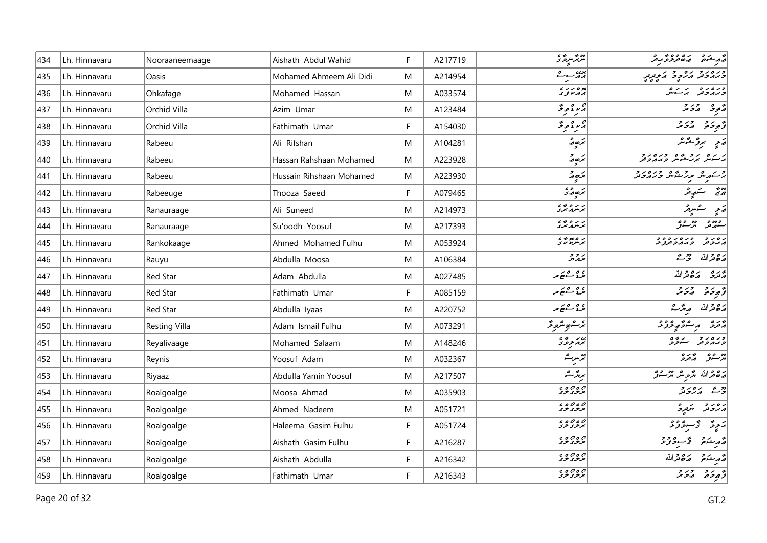| 434 | Lh. Hinnavaru | Nooraaneemaage       | Aishath Abdul Wahid      | F         | A217719 | دو پر پروگر<br>سرچر                       | ه در ده ده وه در د<br>مگهر شوه می هر ده در                    |
|-----|---------------|----------------------|--------------------------|-----------|---------|-------------------------------------------|---------------------------------------------------------------|
| 435 | Lh. Hinnavaru | <b>Oasis</b>         | Mohamed Ahmeem Ali Didi  | M         | A214954 | جەيبەر                                    | כגבפיד גלפיד היכתות<br>כגבפיד ביפיד היכיבי                    |
| 436 | Lh. Hinnavaru | Ohkafage             | Mohamed Hassan           | M         | A033574 | بره ر ر بر<br><i>د در م</i> ا تو ی        | ورەرو پرىش                                                    |
| 437 | Lh. Hinnavaru | Orchid Villa         | Azim Umar                | M         | A123484 | ەر بە ئوقر                                | ړې ور ور<br>مر <i>و</i> د مرحمد                               |
| 438 | Lh. Hinnavaru | Orchid Villa         | Fathimath Umar           | F         | A154030 | لأمر، ووقه                                | وٌ وَدَ وَ وَرَ وَ                                            |
| 439 | Lh. Hinnavaru | Rabeeu               | Ali Rifshan              | M         | A104281 | پر<br>مربه د                              | أرو بروشهر                                                    |
| 440 | Lh. Hinnavaru | Rabeeu               | Hassan Rahshaan Mohamed  | ${\sf M}$ | A223928 | پر<br>بره در                              | ر کرده از در ۱۵۷۵ وره د و<br>بر کشتر امریز کشوش از جریز در در |
| 441 | Lh. Hinnavaru | Rabeeu               | Hussain Rihshaan Mohamed | M         | A223930 | پر<br>بره در                              | و کرمر برگشتر و برمار د<br>برگرمر برگشتر و برماویر            |
| 442 | Lh. Hinnavaru | Rabeeuge             | Thooza Saeed             | F         | A079465 | برەم                                      | دور سکھیے<br>جو سکھیے                                         |
| 443 | Lh. Hinnavaru | Ranauraage           | Ali Suneed               | M         | A214973 | بر بر و بر پ<br>برسمه برد                 | أەكىر سىمبىرە                                                 |
| 444 | Lh. Hinnavaru | Ranauraage           | Su'oodh Yoosuf           | M         | A217393 | ر ر د و و ،<br>برس پر بر <sub>ک</sub>     | כמה מכם<br>המהבק תיהוד                                        |
| 445 | Lh. Hinnavaru | Rankokaage           | Ahmed Mohamed Fulhu      | M         | A053924 | ر ٥ پر دي<br>برس لا ک                     | נסני כנסניכים<br>הגבת כגהכתנת                                 |
| 446 | Lh. Hinnavaru | Rauyu                | Abdulla Moosa            | M         | A106384 | ر و و<br>بود در                           | مَدْهُ مِّرْ اللَّهُ حَرْثَةُ                                 |
| 447 | Lh. Hinnavaru | <b>Red Star</b>      | Adam Abdulla             | ${\sf M}$ | A027485 | <sup>ی ه</sup> ش <sub>ا</sub> غ بر        | وتره رەقراللە                                                 |
| 448 | Lh. Hinnavaru | <b>Red Star</b>      | Fathimath Umar           | F         | A085159 | <sup>ی ه</sup> ش <sub>ا</sub> غ بر        | و در در در                                                    |
| 449 | Lh. Hinnavaru | <b>Red Star</b>      | Abdulla Iyaas            | M         | A220752 | ي ه ه ه ه پو                              | أرة قرالله مرمزجه                                             |
| 450 | Lh. Hinnavaru | <b>Resting Villa</b> | Adam Ismail Fulhu        | M         | A073291 | بزر مصطر عرقر                             | وره د شو ود ود                                                |
| 451 | Lh. Hinnavaru | Reyalivaage          | Mohamed Salaam           | M         | A148246 | عزیز مورد د<br>  عزیز مورد د              | ورەرو سەۋە                                                    |
| 452 | Lh. Hinnavaru | Reynis               | Yoosuf Adam              | M         | A032367 | تجرسرت                                    | دد وه په دره<br>پرسونو پرتوری                                 |
| 453 | Lh. Hinnavaru | Riyaaz               | Abdulla Yamin Yoosuf     | M         | A217507 | بردشه                                     | ره قرالله مر قرم مرد وه<br>مصغرالله مر قرمت                   |
| 454 | Lh. Hinnavaru | Roalgoalge           | Moosa Ahmad              | M         | A035903 | 0 ه 0 ه ه ه<br>مرمونو نور                 | اوسته برەر و                                                  |
| 455 | Lh. Hinnavaru | Roalgoalge           | Ahmed Nadeem             | ${\sf M}$ | A051721 | ە ە ە ە ە »<br>ئىرى ئىرى                  | رەر سەرد                                                      |
| 456 | Lh. Hinnavaru | Roalgoalge           | Haleema Gasim Fulhu      | F         | A051724 | ۵ <i>۵ ۵ ۵</i><br>  <del>ب</del> رنور نور | ر<br>روژ ژبروژ                                                |
| 457 | Lh. Hinnavaru | Roalgoalge           | Aishath Gasim Fulhu      | F         | A216287 | ہ ہ ہ ہ ہ ،<br>مرور و د                   | ه دره قرموز<br>درخود تخ موزن                                  |
| 458 | Lh. Hinnavaru | Roalgoalge           | Aishath Abdulla          | F         | A216342 | ە مەم ە »<br>ئىرىمى ئىرى                  | صمر شوخه صكره تمرالله                                         |
| 459 | Lh. Hinnavaru | Roalgoalge           | Fathimath Umar           | F.        | A216343 | ە ە ە ە ە »<br>ئىرى ئى ئى                 | و در در در                                                    |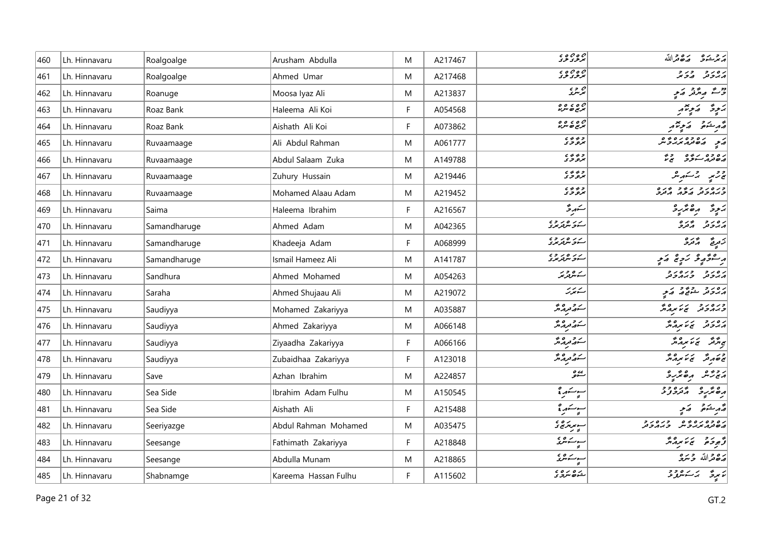| 460 | Lh. Hinnavaru | Roalgoalge   | Arusham Abdulla      | M         | A217467 | ە ە ە ە ە »<br>ئىرى ئىرى                | برويره بره والله                                      |
|-----|---------------|--------------|----------------------|-----------|---------|-----------------------------------------|-------------------------------------------------------|
| 461 | Lh. Hinnavaru | Roalgoalge   | Ahmed Umar           | ${\sf M}$ | A217468 | ۵ ۵ ۵ ۵ ۵<br>  برو <sub>ک</sub> و و د   | גם ג' בגב                                             |
| 462 | Lh. Hinnavaru | Roanuge      | Moosa Iyaz Ali       | M         | A213837 | ە د ،<br>ئىرسرى                         | جي شهر پڻه کي په                                      |
| 463 | Lh. Hinnavaru | Roaz Bank    | Haleema Ali Koi      | F         | A054568 | ە ە » ە ە<br>مرىخ ھىرىر                 | برَجِرةٌ - مَجِين <sub>َ</sub> مُ                     |
| 464 | Lh. Hinnavaru | Roaz Bank    | Aishath Ali Koi      | F         | A073862 | <br>  تریخ ۱۵ مرد                       | وأرشكني وكمريتهم                                      |
| 465 | Lh. Hinnavaru | Ruvaamaage   | Ali Abdul Rahman     | M         | A061777 | و پر پر ،<br>مور پر ر                   | رو دەمدەرەپ                                           |
| 466 | Lh. Hinnavaru | Ruvaamaage   | Abdul Salaam Zuka    | ${\sf M}$ | A149788 | و په په<br>مونو ی                       | נסכם נישים ביב<br>הסנה ייבכ בי                        |
| 467 | Lh. Hinnavaru | Ruvaamaage   | Zuhury Hussain       | M         | A219446 | و ۶ به ۲<br>مروک ی                      | جرحبي برڪهريش                                         |
| 468 | Lh. Hinnavaru | Ruvaamaage   | Mohamed Alaau Adam   | ${\sf M}$ | A219452 | و ۶ به ۲<br>بوره و ۲                    | כנסנכ נדיב דנס<br>במהכת היבה הבק                      |
| 469 | Lh. Hinnavaru | Saima        | Haleema Ibrahim      | F         | A216567 | سنهرقه                                  | يَرْدِدُ دِهْتَرِيدُ                                  |
| 470 | Lh. Hinnavaru | Samandharuge | Ahmed Adam           | M         | A042365 | ے پر ۱۵ پر وی<br>سکو سرفرمری            | ر ہ ر د پر ہ<br>پر بر تر پر بر                        |
| 471 | Lh. Hinnavaru | Samandharuge | Khadeeja Adam        | F         | A068999 | ے پر ۱۵ پر وی<br>سکو سربر <i>بر</i> ی   | زَمَرِيحَ الرَّمَرَّرُ                                |
| 472 | Lh. Hinnavaru | Samandharuge | Ismail Hameez Ali    | ${\sf M}$ | A141787 | ر ر د ه ر د د<br>ستوکسرفرمرد            | ر جۇرپۇ رىي كەي                                       |
| 473 | Lh. Hinnavaru | Sandhura     | Ahmed Mohamed        | M         | A054263 | ىە ھەجەبەر                              | גם ג כגם גב<br>הגבת בגהבת                             |
| 474 | Lh. Hinnavaru | Saraha       | Ahmed Shujaau Ali    | M         | A219072 | سەپەر                                   | رەر د دەر ھېر                                         |
| 475 | Lh. Hinnavaru | Saudiyya     | Mohamed Zakariyya    | M         | A035887 | سەر ئەرەر ئە                            | כממכני הממחת                                          |
| 476 | Lh. Hinnavaru | Saudiyya     | Ahmed Zakariyya      | M         | A066148 | سەھە تىرەر تە                           | גפני היגבת                                            |
| 477 | Lh. Hinnavaru | Saudiyya     | Ziyaadha Zakariyya   | F         | A066166 | سەھە تىرەر بىر                          | يې ترگىل ئىم كىم مېرتما تر                            |
| 478 | Lh. Hinnavaru | Saudiyya     | Zubaidhaa Zakariyya  | F         | A123018 | سەھەمەھر                                | SAXVE SAGE                                            |
| 479 | Lh. Hinnavaru | Save         | Azhan Ibrahim        | M         | A224857 | ے ہ                                     | גיים גם בקים                                          |
| 480 | Lh. Hinnavaru | Sea Side     | Ibrahim Adam Fulhu   | ${\sf M}$ | A150545 | سەسىردە                                 | پر رہ و و<br>پر تعریبی تو ت<br>ەرھ ئ <sup>ۆ</sup> ر ۋ |
| 481 | Lh. Hinnavaru | Sea Side     | Aishath Ali          | F         | A215488 | سەسە<br>ئە                              | أقرم شكوح أقدمي                                       |
| 482 | Lh. Hinnavaru | Seeriyazge   | Abdul Rahman Mohamed | ${\sf M}$ | A035475 | $rac{1}{s}$                             | ره وه ره ده و دره رو<br>پره تربر بررگ سر او بربر تر   |
| 483 | Lh. Hinnavaru | Seesange     | Fathimath Zakariyya  | F         | A218848 | سەسەھرى                                 | ومجودة ومتما مرمامر                                   |
| 484 | Lh. Hinnavaru | Seesange     | Abdulla Munam        | M         | A218865 | بەيە ئەھەم<br>سوس <b>ى</b> ئەمىرى       | مَدْهُ قَرْاللّهِ وَسَرَدْ                            |
| 485 | Lh. Hinnavaru | Shabnamge    | Kareema Hassan Fulhu | F         | A115602 | ر <i>ە</i> رە ،<br>شەھ سرچ <sub>ك</sub> | ىكەن ئەسكەنلەر                                        |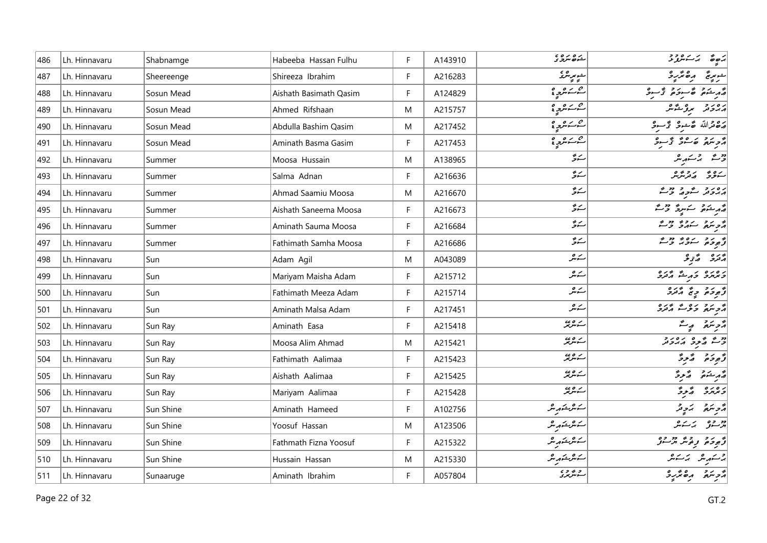| 486 | Lh. Hinnavaru | Shabnamge  | Habeeba Hassan Fulhu   | F  | A143910 | شەھ سرچ ي                                                         | بَصِعَ بَرَ سَمَعَتَهِ مَ                                                                                                                          |
|-----|---------------|------------|------------------------|----|---------|-------------------------------------------------------------------|----------------------------------------------------------------------------------------------------------------------------------------------------|
| 487 | Lh. Hinnavaru | Sheereenge | Shireeza Ibrahim       | F  | A216283 | ا <sub>ڪو پور</sub> ھ ج<br>ڪ                                      | شوبرځ ره تر ده                                                                                                                                     |
| 488 | Lh. Hinnavaru | Sosun Mead | Aishath Basimath Qasim | F  | A124829 | يرمشونه                                                           |                                                                                                                                                    |
| 489 | Lh. Hinnavaru | Sosun Mead | Ahmed Rifshaan         | M  | A215757 | $\begin{array}{c}\n\circ \\ \circ \\ \circ \\ \circ\n\end{array}$ | رەرو برۇشەر                                                                                                                                        |
| 490 | Lh. Hinnavaru | Sosun Mead | Abdulla Bashim Qasim   | M  | A217452 | $\overline{\mathcal{E}_{z} \mathcal{L} \mathcal{L} \mathcal{L}}$  | رە قراللە ھُشور تۇسور                                                                                                                              |
| 491 | Lh. Hinnavaru | Sosun Mead | Aminath Basma Gasim    | F  | A217453 | جمسكموء                                                           | أأروسهم فأسادة أوالمساو                                                                                                                            |
| 492 | Lh. Hinnavaru | Summer     | Moosa Hussain          | M  | A138965 | سەۋ                                                               | دوم بر مسرهر                                                                                                                                       |
| 493 | Lh. Hinnavaru | Summer     | Salma Adnan            | F  | A216636 | سەۋ                                                               | سەۋۋە ئەترىترىتر                                                                                                                                   |
| 494 | Lh. Hinnavaru | Summer     | Ahmad Saamiu Moosa     | M  | A216670 | سەۋ                                                               | رەرو ئورچ وق                                                                                                                                       |
| 495 | Lh. Hinnavaru | Summer     | Aishath Saneema Moosa  | F  | A216673 | سەۋ                                                               | و مشارق سامبری و مشک                                                                                                                               |
| 496 | Lh. Hinnavaru | Summer     | Aminath Sauma Moosa    | F. | A216684 | سەۋ                                                               | $\stackrel{2}{\sim}$ $\stackrel{2}{\sim}$ $\stackrel{2}{\sim}$ $\stackrel{2}{\sim}$ $\stackrel{2}{\sim}$ $\stackrel{2}{\sim}$ $\stackrel{2}{\sim}$ |
| 497 | Lh. Hinnavaru | Summer     | Fathimath Samha Moosa  | F  | A216686 | سەۋ                                                               | أو دو ده و دو و                                                                                                                                    |
| 498 | Lh. Hinnavaru | Sun        | Adam Agil              | M  | A043089 | سەمىر                                                             | أرود المتحي                                                                                                                                        |
| 499 | Lh. Hinnavaru | Sun        | Mariyam Maisha Adam    | F  | A215712 | سەمىر                                                             | وبرود ورشه وره                                                                                                                                     |
| 500 | Lh. Hinnavaru | Sun        | Fathimath Meeza Adam   | F  | A215714 | سەمىر                                                             | أرجوحه جِعَ أرادة                                                                                                                                  |
| 501 | Lh. Hinnavaru | Sun        | Aminath Malsa Adam     | F  | A217451 | سەپىر                                                             | أروستهم وكوث أرده                                                                                                                                  |
| 502 | Lh. Hinnavaru | Sun Ray    | Aminath Easa           | F  | A215418 | ر ۵ پر<br>سوسر                                                    | أرمح سنتمر ويدمش                                                                                                                                   |
| 503 | Lh. Hinnavaru | Sun Ray    | Moosa Alim Ahmad       | M  | A215421 | ر ۵ پر<br>سوسر                                                    | وحد محمود مددور                                                                                                                                    |
| 504 | Lh. Hinnavaru | Sun Ray    | Fathimath Aalimaa      | F  | A215423 | سەمىرىپر                                                          | وٌ وَدَهُ فَرَمَرٌ                                                                                                                                 |
| 505 | Lh. Hinnavaru | Sun Ray    | Aishath Aalimaa        | F  | A215425 | سەمىرىپۇ                                                          | ە ئەبەر<br>و مرشوم<br>مرم مشوم                                                                                                                     |
| 506 | Lh. Hinnavaru | Sun Ray    | Mariyam Aalimaa        | F  | A215428 | سەمىرىپىر                                                         | دەرە ھۆر                                                                                                                                           |
| 507 | Lh. Hinnavaru | Sun Shine  | Aminath Hameed         | F  | A102756 | سەن <sub>ى</sub> رىشە <sub>مە</sub> رىگە                          | ړې سره پرېږېد                                                                                                                                      |
| 508 | Lh. Hinnavaru | Sun Shine  | Yoosuf Hassan          | M  | A123506 | سەنى <i>رىدىر بىر</i>                                             | در ده بر پرو                                                                                                                                       |
| 509 | Lh. Hinnavaru | Sun Shine  | Fathmath Fizna Yoosuf  | F  | A215322 | سەھرىشەر بىر                                                      | و څوخه و په په مرحوم                                                                                                                               |
| 510 | Lh. Hinnavaru | Sun Shine  | Hussain Hassan         | M  | A215330 | سەنئەر يىر<br>                                                    | برسكهر مركب بركسكر                                                                                                                                 |
| 511 | Lh. Hinnavaru | Sunaaruge  | Aminath Ibrahim        | F  | A057804 | 2 پېړۍ ته د                                                       | أأوسكة المقامرة                                                                                                                                    |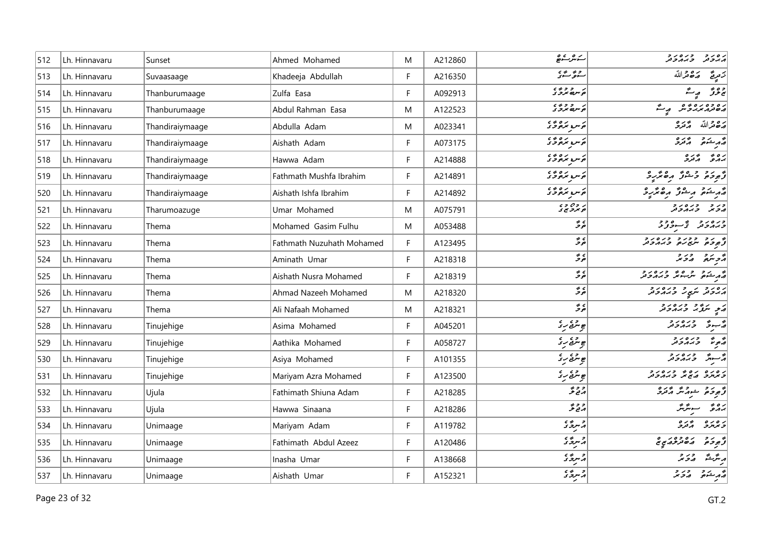| 512 | Lh. Hinnavaru | Sunset          | Ahmed Mohamed             | M | A212860 | سەمىر يەھ                          | נפנד בנסנד<br>גנבת בגגבת                              |
|-----|---------------|-----------------|---------------------------|---|---------|------------------------------------|-------------------------------------------------------|
| 513 | Lh. Hinnavaru | Suvaasaage      | Khadeeja Abdullah         | F | A216350 | <u>ر ژه په پ</u>                   | مَە قىراللە<br>  ترموقح                               |
| 514 | Lh. Hinnavaru | Thanburumaage   | Zulfa Easa                | F | A092913 | ر د د د و د<br>می سرحاند د د       | ة جود و په ش                                          |
| 515 | Lh. Hinnavaru | Thanburumaage   | Abdul Rahman Easa         | M | A122523 | ر د د پ<br>می سرچ بر د             | رە دە رە دە ھ                                         |
| 516 | Lh. Hinnavaru | Thandiraiymaage | Abdulla Adam              | M | A023341 | پر سو بره وي                       | مَدْهِ مِّرْ اللَّهُ مَرْ مَرْدَّ                     |
| 517 | Lh. Hinnavaru | Thandiraiymaage | Aishath Adam              | F | A073175 | ە ئىسىم ئىرە دى                    | وكرمشكم والمترد                                       |
| 518 | Lh. Hinnavaru | Thandiraiymaage | Hawwa Adam                | F | A214888 | ەسرىمۇر                            | رەپ پەرە                                              |
| 519 | Lh. Hinnavaru | Thandiraiymaage | Fathmath Mushfa Ibrahim   | F | A214891 | <br>  پېښو بره وي                  | و مرد و دروو مصر د                                    |
| 520 | Lh. Hinnavaru | Thandiraiymaage | Aishath Ishfa Ibrahim     | F | A214892 | پر مره و و ،                       | أقهر يشوقه ومنافر والمتعارف                           |
| 521 | Lh. Hinnavaru | Tharumoazuge    | Umar Mohamed              | M | A075791 | ر وه و و و<br>مومرد مح ی           | כנ כנסנב<br>הכא כגהכת                                 |
| 522 | Lh. Hinnavaru | Thema           | Mohamed Gasim Fulhu       | M | A053488 | ي بحر<br>حر                        | ورەرو ئۇسورو<br>جەيدونر ئۇسورى                        |
| 523 | Lh. Hinnavaru | Thema           | Fathmath Nuzuhath Mohamed | F | A123495 | ء ۾<br> حر                         | و د د ددر د دره د د<br>گرجوده سره د در در             |
| 524 | Lh. Hinnavaru | Thema           | Aminath Umar              | F | A218318 | ے بچ<br>حوال                       | أزويتهم الدوير                                        |
| 525 | Lh. Hinnavaru | Thema           | Aishath Nusra Mohamed     | F | A218319 | ې بح                               | د دره در ۲۰۰۵ دره در د<br>درگار شوی سرجاند و برابروتر |
| 526 | Lh. Hinnavaru | Thema           | Ahmad Nazeeh Mohamed      | M | A218320 | ے بچ<br>حوال                       | رەر د شي ر ورەر د                                     |
| 527 | Lh. Hinnavaru | Thema           | Ali Nafaah Mohamed        | M | A218321 | ې بو<br>حوا                        | أربح سرقر ورود و                                      |
| 528 | Lh. Hinnavaru | Tinujehige      | Asima Mohamed             | F | A045201 | ھ سرچ رِ ئ                         | أشبوش وبره برو                                        |
| 529 | Lh. Hinnavaru | Tinujehige      | Aathika Mohamed           | F | A058727 | ھ <sub>ے</sub> سرچ <sub>سر</sub> ئ | و وره دور                                             |
| 530 | Lh. Hinnavaru | Tinujehige      | Asiya Mohamed             | F | A101355 | ۔<br>جو مترقع س <sup>ری</sup>      | و دره در در<br>مرسسر درمدوند                          |
| 531 | Lh. Hinnavaru | Tinujehige      | Mariyam Azra Mohamed      | F | A123500 | ھ <sub>ے</sub> سرچ <sub>سر</sub> ئ | נסנס נסט כנסנב<br>כמתכ הזמ כמהכת                      |
| 532 | Lh. Hinnavaru | Ujula           | Fathimath Shiuna Adam     | F | A218285 | و و بر<br>مربع مو                  | توجوحو خورش مرمز                                      |
| 533 | Lh. Hinnavaru | Ujula           | Hawwa Sinaana             | F | A218286 | و و ع<br>مربع محر                  | برە ئەسىرىتر                                          |
| 534 | Lh. Hinnavaru | Unimaage        | Mariyam Adam              | F | A119782 | ב<br>הייקבצ                        | נים נים מינים<br>בי <i>נ</i> ו <i>נ</i> פ             |
| 535 | Lh. Hinnavaru | Unimaage        | Fathimath Abdul Azeez     | F | A120486 | د<br>مسرچي                         | و معرض معدد معرض مع                                   |
| 536 | Lh. Hinnavaru | Unimaage        | Inasha Umar               | F | A138668 | ۾ سرچء<br>م                        | ەر ئىرىشە<br>ەرىر                                     |
| 537 | Lh. Hinnavaru | Unimaage        | Aishath Umar              | F | A152321 | اژ سرچ <sup>ي</sup>                | وكرمشكو ورو                                           |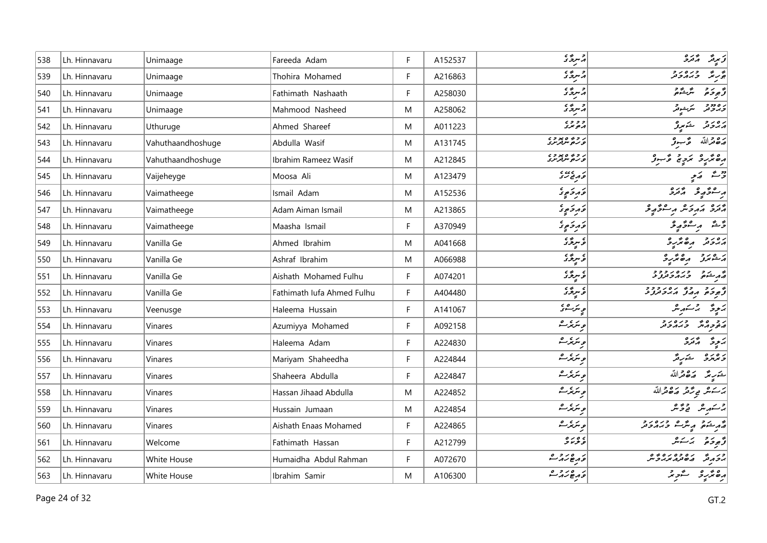| 538 | Lh. Hinnavaru | Unimaage          | Fareeda Adam               | F         | A152537 | د سرچ ی<br>م                      | ترىرىگە ئەترى                                 |
|-----|---------------|-------------------|----------------------------|-----------|---------|-----------------------------------|-----------------------------------------------|
| 539 | Lh. Hinnavaru | Unimaage          | Thohira Mohamed            | F         | A216863 | و بەرى<br>مەسرىرى                 | پ <sup>و</sup> رېمه<br>و ره ر و<br>تر پر ژ تر |
| 540 | Lh. Hinnavaru | Unimaage          | Fathimath Nashaath         | F         | A258030 | رسوری                             | ىگرىشى <i>مى</i><br>و په پر د                 |
| 541 | Lh. Hinnavaru | Unimaage          | Mahmood Nasheed            | M         | A258062 | ج سرچ <sup>ي</sup>                | ر ه دد د<br>تربر تر<br>سكرشدقر                |
| 542 | Lh. Hinnavaru | Uthuruge          | Ahmed Shareef              | ${\sf M}$ | A011223 | د د د ،<br>پره مرد                | أرور والمتمرو                                 |
| 543 | Lh. Hinnavaru | Vahuthaandhoshuge | Abdulla Wasif              | M         | A131745 | ر و ده ه پر و ،<br>و ره سربر در   | مَەھقراللە ئۆسور                              |
| 544 | Lh. Hinnavaru | Vahuthaandhoshuge | Ibrahim Rameez Wasif       | M         | A212845 | ر و د ه پر و ،<br>و ره سربر در    | رە ئەر ئە ئەر ئەسر                            |
| 545 | Lh. Hinnavaru | Vaijeheyge        | Moosa Ali                  | ${\sf M}$ | A123479 | ر<br>تو در ج ر د                  | $\frac{1}{2}$ $\frac{2}{3}$                   |
| 546 | Lh. Hinnavaru | Vaimatheege       | Ismail Adam                | ${\sf M}$ | A152536 | ئە مەخرىمى<br>مەمرىكە             | وستوفي ومترد                                  |
| 547 | Lh. Hinnavaru | Vaimatheege       | Adam Aiman Ismail          | M         | A213865 | ئەر ئەم <sub>ۇ</sub> ئ            | ړنده مهرځنګر مرگو څرمړنځ                      |
| 548 | Lh. Hinnavaru | Vaimatheege       | Maasha Ismail              | F         | A370949 | ر<br>قەر قەمى                     | ۇڭ مەخۇم بى                                   |
| 549 | Lh. Hinnavaru | Vanilla Ge        | Ahmed Ibrahim              | M         | A041668 | ء سرچء<br>حرس <sub>و</sub> چر     | ەھ ترىر 3<br>بر ه بر د<br>م <i>.بر</i> و تر   |
| 550 | Lh. Hinnavaru | Vanilla Ge        | Ashraf Ibrahim             | M         | A066988 | ې<br>د سرگرۍ                      | ر عرد ده پره                                  |
| 551 | Lh. Hinnavaru | Vanilla Ge        | Aishath Mohamed Fulhu      | F         | A074201 | ى سرچە ئە<br> ھ                   | و دره دره دره<br>وگهرشوی و بر دو ترو د        |
| 552 | Lh. Hinnavaru | Vanilla Ge        | Fathimath lufa Ahmed Fulhu | F         | A404480 | ې<br>د سرگرۍ                      | وجوختم ماماني ماردود                          |
| 553 | Lh. Hinnavaru | Veenusge          | Haleema Hussain            | F         | A141067 | <sub>حو</sub> متر شو <sup>ء</sup> | يَرْمِرَّ * يُرْسَهُرِ سُرْ                   |
| 554 | Lh. Hinnavaru | Vinares           | Azumiyya Mohamed           | F         | A092158 | <sub>ع</sub> بىر پر م             | ן כני כנמכני<br>הו <i>יפר</i> ות כממכנ        |
| 555 | Lh. Hinnavaru | Vinares           | Haleema Adam               | F         | A224830 | <sub>ع</sub> بىر پۇرىشە           | أبر و المترد                                  |
| 556 | Lh. Hinnavaru | Vinares           | Mariyam Shaheedha          | F         | A224844 | ويئر پر م                         | رەرە خىرىگە                                   |
| 557 | Lh. Hinnavaru | Vinares           | Shaheera Abdulla           | F         | A224847 | موسَر پر محمد                     | ڪو <i>پنگر مُنھوند</i> الله                   |
| 558 | Lh. Hinnavaru | Vinares           | Hassan Jihaad Abdulla      | M         | A224852 | المريئد ه                         | برسك ويحتفر وكافرالله                         |
| 559 | Lh. Hinnavaru | Vinares           | Hussain Jumaan             | M         | A224854 | ە ئىر پۇر شە                      | جر سەر سىر يە ئەشر                            |
| 560 | Lh. Hinnavaru | Vinares           | Aishath Enaas Mohamed      | F         | A224865 | ە ئىر ئۈرگە                       | مەر خۇم باش 3000 د                            |
| 561 | Lh. Hinnavaru | Welcome           | Fathimath Hassan           | F         | A212799 | <sup>ى ج</sup> ەر ج               | قەم ئەسكىر                                    |
| 562 | Lh. Hinnavaru | White House       | Humaidha Abdul Rahman      | F         | A072670 | ەر ۋىر ئە                         | برۇمرىتر<br>ره وه ره ده<br>هان مربر تر س      |
| 563 | Lh. Hinnavaru | White House       | Ibrahim Samir              | ${\sf M}$ | A106300 | 2220                              | رە ئۆر ئەر ئە                                 |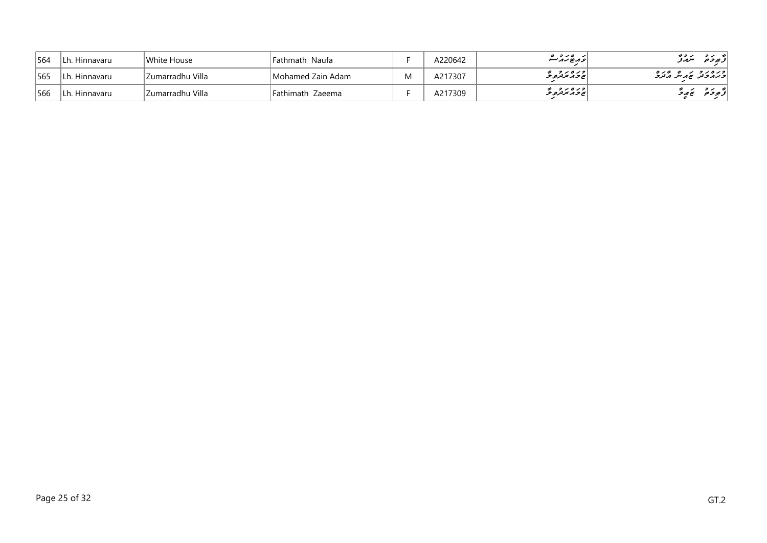| 564  | ILh. Hinnavaru | White House       | Fathmath Naufa    |   | A220642 | $\circ$ $\circ$ $\circ$ $\circ$ $\circ$<br>$-$ neng | クラン<br>سمدو<br>وجوحرمو                |
|------|----------------|-------------------|-------------------|---|---------|-----------------------------------------------------|---------------------------------------|
| 565  | Lh. Hinnavaru  | Zumarradhu Villa  | Mohamed Zain Adam | M | A217307 | $\rightarrow$ 21012<br>  بع حر بر بمرترح پو         | 014 0 1 21012<br>وبرمروتر بمرمس مرتزو |
| 1566 | Lh. Hinnavaru  | lZumarradhu Villa | Fathimath Zaeema  |   | A217309 | $\rightarrow$ 21012<br>  بع و در بودرو م            | و جو حر صح<br>سم جر حر                |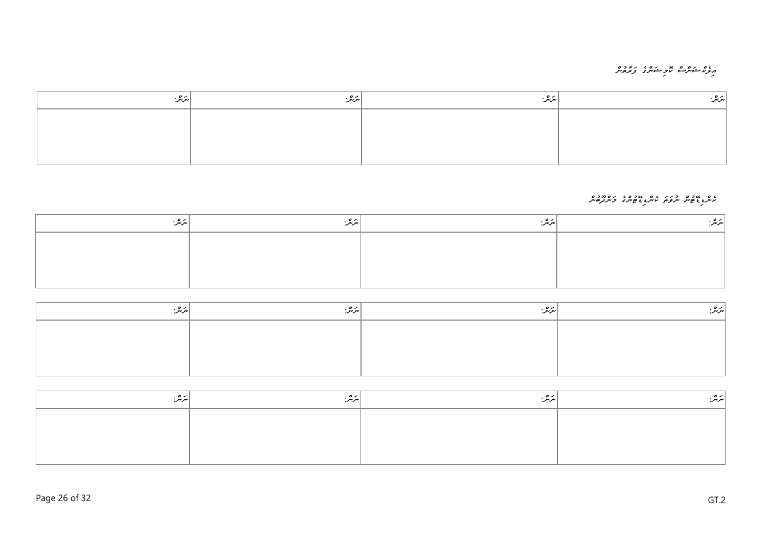## *w7qAn8m? sCw7mRo>u; wEw7mRw;sBo<*

| ' مرمر | 'يئرىثر: |
|--------|----------|
|        |          |
|        |          |
|        |          |

## *w7q9r@w7m> sCw7qHtFoFw7s; mAm=q7 w7qHtFoFw7s;*

| ىر تە | $\mathcal{O} \times$<br>$\sim$ | $\sim$<br>. . | لترنثر |
|-------|--------------------------------|---------------|--------|
|       |                                |               |        |
|       |                                |               |        |
|       |                                |               |        |

| انترنثر: | $^{\circ}$ | يبرهر | $^{\circ}$<br>سرسر |
|----------|------------|-------|--------------------|
|          |            |       |                    |
|          |            |       |                    |
|          |            |       |                    |

| ' ئىرتىر: | سر سر |  |
|-----------|-------|--|
|           |       |  |
|           |       |  |
|           |       |  |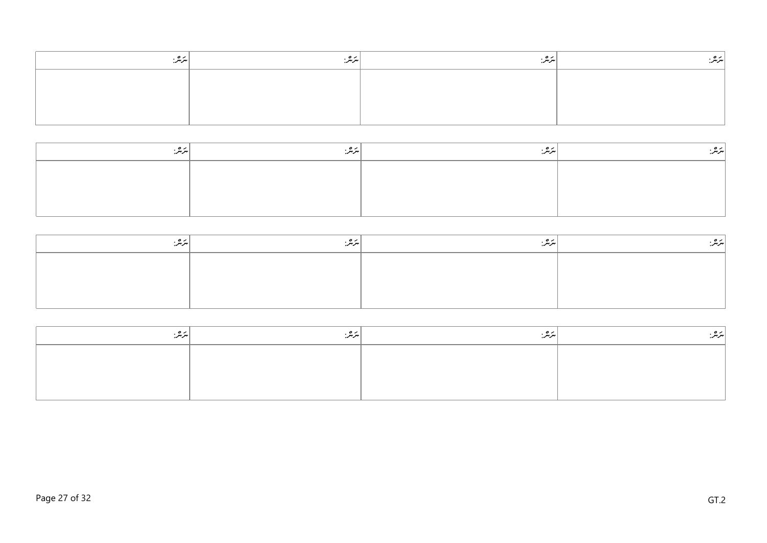| يزهر | $^{\circ}$ | ىئرىتر: |  |
|------|------------|---------|--|
|      |            |         |  |
|      |            |         |  |
|      |            |         |  |

| <sup>.</sup> سرسر. |  |
|--------------------|--|
|                    |  |
|                    |  |
|                    |  |

| ىئرىتر. | $\sim$ | ا بر هه. | لىرىش |
|---------|--------|----------|-------|
|         |        |          |       |
|         |        |          |       |
|         |        |          |       |

| يترمثر | $^{\circ}$ | ىر پىر |
|--------|------------|--------|
|        |            |        |
|        |            |        |
|        |            |        |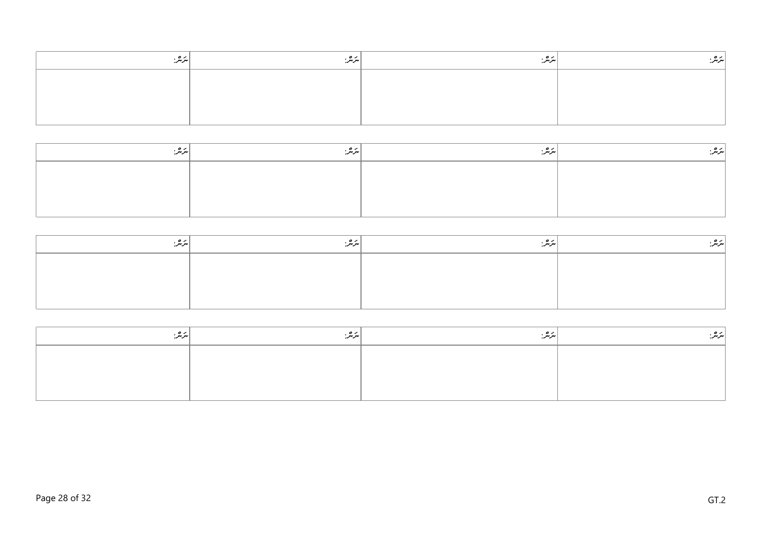| ير هو . | $\overline{\phantom{a}}$ | يرمر | اير هنه. |
|---------|--------------------------|------|----------|
|         |                          |      |          |
|         |                          |      |          |
|         |                          |      |          |

| ىر تىر: | $\circ$ $\sim$<br>" سرسر . | يترمير | o . |
|---------|----------------------------|--------|-----|
|         |                            |        |     |
|         |                            |        |     |
|         |                            |        |     |

| انترنثر: | ر ه |  |
|----------|-----|--|
|          |     |  |
|          |     |  |
|          |     |  |

|  | . ه |
|--|-----|
|  |     |
|  |     |
|  |     |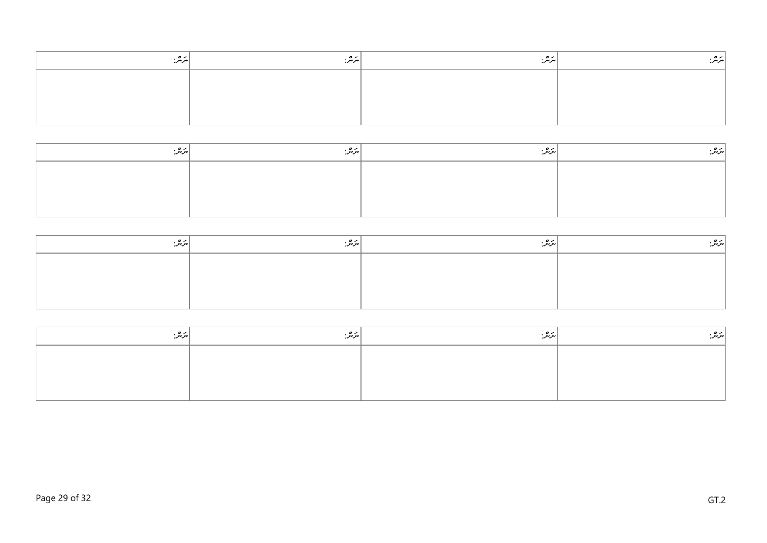| ير هو . | $\overline{\phantom{a}}$ | يرمر | اير هنه. |
|---------|--------------------------|------|----------|
|         |                          |      |          |
|         |                          |      |          |
|         |                          |      |          |

| ىبرىر. | $\sim$<br>ا سرسر . | يئرمثر | o . |
|--------|--------------------|--------|-----|
|        |                    |        |     |
|        |                    |        |     |
|        |                    |        |     |

| انترنثر: | ر ه |  |
|----------|-----|--|
|          |     |  |
|          |     |  |
|          |     |  |

|  | . ه |
|--|-----|
|  |     |
|  |     |
|  |     |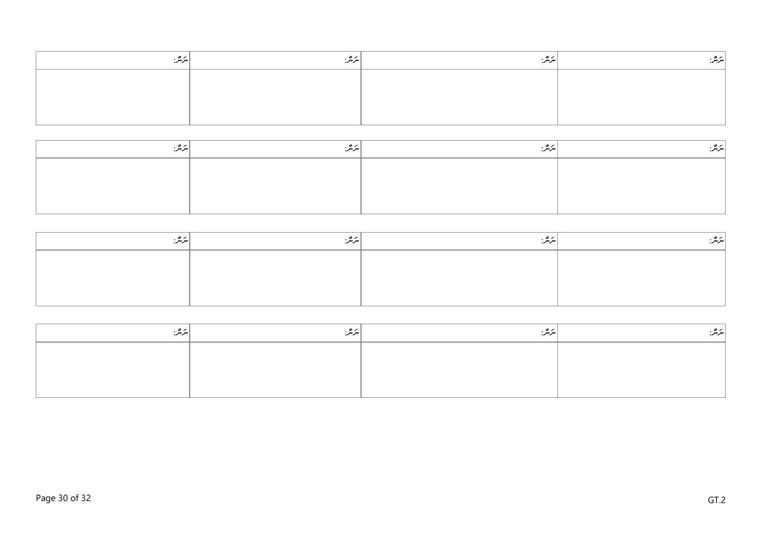| $\frac{\circ}{\cdot}$ | 。 | $\frac{\circ}{\cdot}$ | $\sim$<br>سرسر |
|-----------------------|---|-----------------------|----------------|
|                       |   |                       |                |
|                       |   |                       |                |
|                       |   |                       |                |

| ترتثر: | َ سرسر. |  |
|--------|---------|--|
|        |         |  |
|        |         |  |
|        |         |  |

| بر ه | . ه | $\overline{\phantom{0}}$<br>سرسر |  |
|------|-----|----------------------------------|--|
|      |     |                                  |  |
|      |     |                                  |  |
|      |     |                                  |  |

| 。<br>. س | ىرىىر |  |
|----------|-------|--|
|          |       |  |
|          |       |  |
|          |       |  |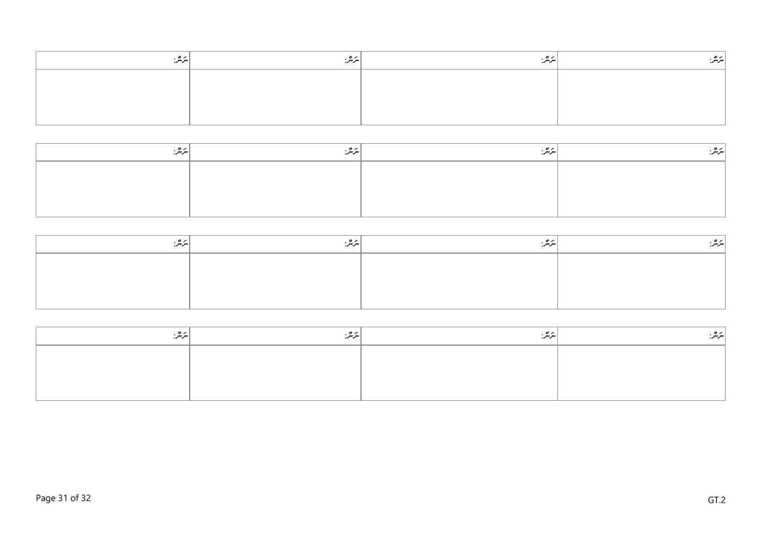| ير هو . | $\overline{\phantom{a}}$ | يرمر | اير هنه. |
|---------|--------------------------|------|----------|
|         |                          |      |          |
|         |                          |      |          |
|         |                          |      |          |

| ىر تىر: | $\circ$ $\sim$<br>" سرسر . | يترمير | o . |
|---------|----------------------------|--------|-----|
|         |                            |        |     |
|         |                            |        |     |
|         |                            |        |     |

| 'تترنثر: | 。<br>,,,, |  |
|----------|-----------|--|
|          |           |  |
|          |           |  |
|          |           |  |

|  | . ه |
|--|-----|
|  |     |
|  |     |
|  |     |